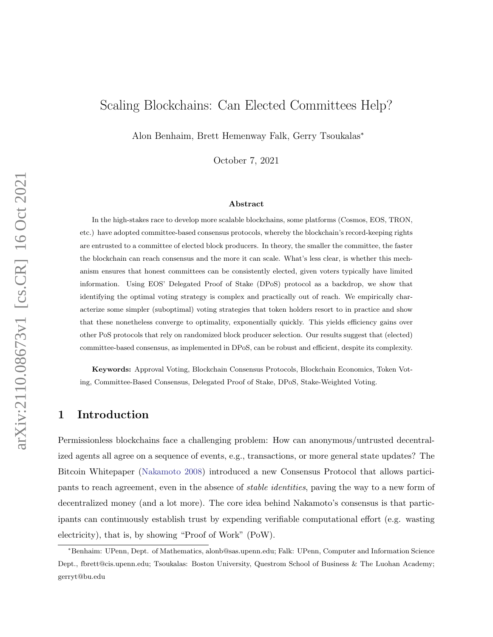# Scaling Blockchains: Can Elected Committees Help?

Alon Benhaim, Brett Hemenway Falk, Gerry Tsoukalas<sup>∗</sup>

October 7, 2021

#### Abstract

In the high-stakes race to develop more scalable blockchains, some platforms (Cosmos, EOS, TRON, etc.) have adopted committee-based consensus protocols, whereby the blockchain's record-keeping rights are entrusted to a committee of elected block producers. In theory, the smaller the committee, the faster the blockchain can reach consensus and the more it can scale. What's less clear, is whether this mechanism ensures that honest committees can be consistently elected, given voters typically have limited information. Using EOS' Delegated Proof of Stake (DPoS) protocol as a backdrop, we show that identifying the optimal voting strategy is complex and practically out of reach. We empirically characterize some simpler (suboptimal) voting strategies that token holders resort to in practice and show that these nonetheless converge to optimality, exponentially quickly. This yields efficiency gains over other PoS protocols that rely on randomized block producer selection. Our results suggest that (elected) committee-based consensus, as implemented in DPoS, can be robust and efficient, despite its complexity.

Keywords: Approval Voting, Blockchain Consensus Protocols, Blockchain Economics, Token Voting, Committee-Based Consensus, Delegated Proof of Stake, DPoS, Stake-Weighted Voting.

# 1 Introduction

Permissionless blockchains face a challenging problem: How can anonymous/untrusted decentralized agents all agree on a sequence of events, e.g., transactions, or more general state updates? The Bitcoin Whitepaper [\(Nakamoto](#page-28-0) [2008\)](#page-28-0) introduced a new Consensus Protocol that allows participants to reach agreement, even in the absence of stable identities, paving the way to a new form of decentralized money (and a lot more). The core idea behind Nakamoto's consensus is that participants can continuously establish trust by expending verifiable computational effort (e.g. wasting electricity), that is, by showing "Proof of Work" (PoW).

<sup>∗</sup>Benhaim: UPenn, Dept. of Mathematics, alonb@sas.upenn.edu; Falk: UPenn, Computer and Information Science Dept., fbrett@cis.upenn.edu; Tsoukalas: Boston University, Questrom School of Business & The Luohan Academy; gerryt@bu.edu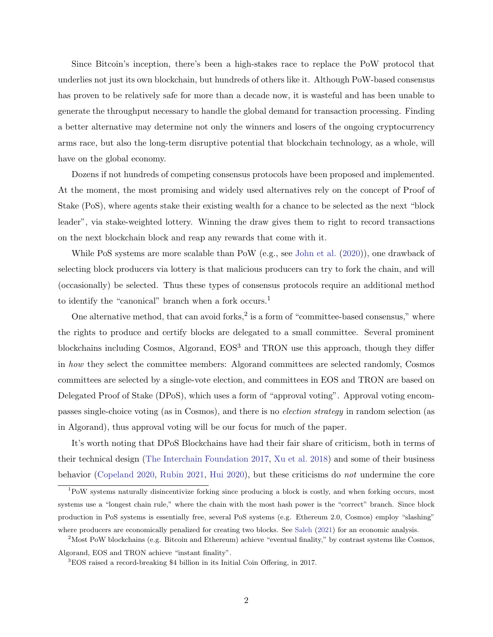Since Bitcoin's inception, there's been a high-stakes race to replace the PoW protocol that underlies not just its own blockchain, but hundreds of others like it. Although PoW-based consensus has proven to be relatively safe for more than a decade now, it is wasteful and has been unable to generate the throughput necessary to handle the global demand for transaction processing. Finding a better alternative may determine not only the winners and losers of the ongoing cryptocurrency arms race, but also the long-term disruptive potential that blockchain technology, as a whole, will have on the global economy.

Dozens if not hundreds of competing consensus protocols have been proposed and implemented. At the moment, the most promising and widely used alternatives rely on the concept of Proof of Stake (PoS), where agents stake their existing wealth for a chance to be selected as the next "block leader", via stake-weighted lottery. Winning the draw gives them to right to record transactions on the next blockchain block and reap any rewards that come with it.

While PoS systems are more scalable than PoW (e.g., see [John et al.](#page-28-1) [\(2020\)](#page-28-1)), one drawback of selecting block producers via lottery is that malicious producers can try to fork the chain, and will (occasionally) be selected. Thus these types of consensus protocols require an additional method to identify the "canonical" branch when a fork occurs.<sup>1</sup>

One alternative method, that can avoid forks,<sup>2</sup> is a form of "committee-based consensus," where the rights to produce and certify blocks are delegated to a small committee. Several prominent blockchains including Cosmos, Algorand, EOS<sup>3</sup> and TRON use this approach, though they differ in how they select the committee members: Algorand committees are selected randomly, Cosmos committees are selected by a single-vote election, and committees in EOS and TRON are based on Delegated Proof of Stake (DPoS), which uses a form of "approval voting". Approval voting encompasses single-choice voting (as in Cosmos), and there is no election strategy in random selection (as in Algorand), thus approval voting will be our focus for much of the paper.

It's worth noting that DPoS Blockchains have had their fair share of criticism, both in terms of their technical design [\(The Interchain Foundation](#page-29-0) [2017,](#page-29-0) [Xu et al.](#page-29-1) [2018\)](#page-29-1) and some of their business behavior [\(Copeland](#page-26-0) [2020,](#page-26-0) [Rubin](#page-29-2) [2021,](#page-29-2) [Hui](#page-27-0) [2020\)](#page-27-0), but these criticisms do not undermine the core

<sup>1</sup>PoW systems naturally disincentivize forking since producing a block is costly, and when forking occurs, most systems use a "longest chain rule," where the chain with the most hash power is the "correct" branch. Since block production in PoS systems is essentially free, several PoS systems (e.g. Ethereum 2.0, Cosmos) employ "slashing" where producers are economically penalized for creating two blocks. See [Saleh](#page-29-3) [\(2021\)](#page-29-3) for an economic analysis.

<sup>&</sup>lt;sup>2</sup>Most PoW blockchains (e.g. Bitcoin and Ethereum) achieve "eventual finality," by contrast systems like Cosmos, Algorand, EOS and TRON achieve "instant finality".

<sup>3</sup>EOS raised a record-breaking \$4 billion in its Initial Coin Offering, in 2017.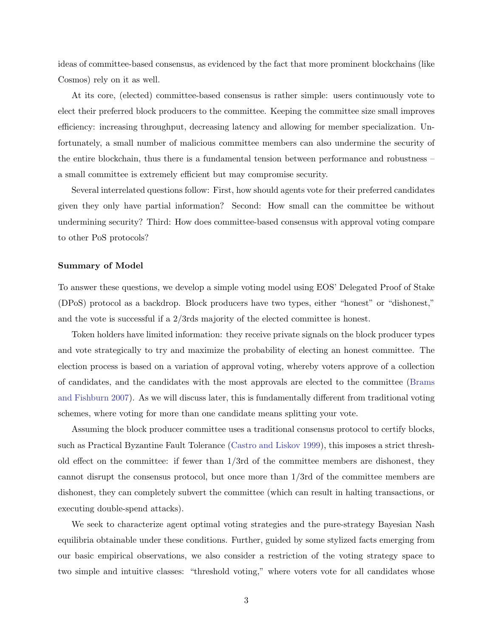ideas of committee-based consensus, as evidenced by the fact that more prominent blockchains (like Cosmos) rely on it as well.

At its core, (elected) committee-based consensus is rather simple: users continuously vote to elect their preferred block producers to the committee. Keeping the committee size small improves efficiency: increasing throughput, decreasing latency and allowing for member specialization. Unfortunately, a small number of malicious committee members can also undermine the security of the entire blockchain, thus there is a fundamental tension between performance and robustness – a small committee is extremely efficient but may compromise security.

Several interrelated questions follow: First, how should agents vote for their preferred candidates given they only have partial information? Second: How small can the committee be without undermining security? Third: How does committee-based consensus with approval voting compare to other PoS protocols?

## Summary of Model

To answer these questions, we develop a simple voting model using EOS' Delegated Proof of Stake (DPoS) protocol as a backdrop. Block producers have two types, either "honest" or "dishonest," and the vote is successful if a  $2/3$ rds majority of the elected committee is honest.

Token holders have limited information: they receive private signals on the block producer types and vote strategically to try and maximize the probability of electing an honest committee. The election process is based on a variation of approval voting, whereby voters approve of a collection of candidates, and the candidates with the most approvals are elected to the committee [\(Brams](#page-26-1) [and Fishburn](#page-26-1) [2007\)](#page-26-1). As we will discuss later, this is fundamentally different from traditional voting schemes, where voting for more than one candidate means splitting your vote.

Assuming the block producer committee uses a traditional consensus protocol to certify blocks, such as Practical Byzantine Fault Tolerance [\(Castro and Liskov](#page-26-2) [1999\)](#page-26-2), this imposes a strict threshold effect on the committee: if fewer than 1/3rd of the committee members are dishonest, they cannot disrupt the consensus protocol, but once more than 1/3rd of the committee members are dishonest, they can completely subvert the committee (which can result in halting transactions, or executing double-spend attacks).

We seek to characterize agent optimal voting strategies and the pure-strategy Bayesian Nash equilibria obtainable under these conditions. Further, guided by some stylized facts emerging from our basic empirical observations, we also consider a restriction of the voting strategy space to two simple and intuitive classes: "threshold voting," where voters vote for all candidates whose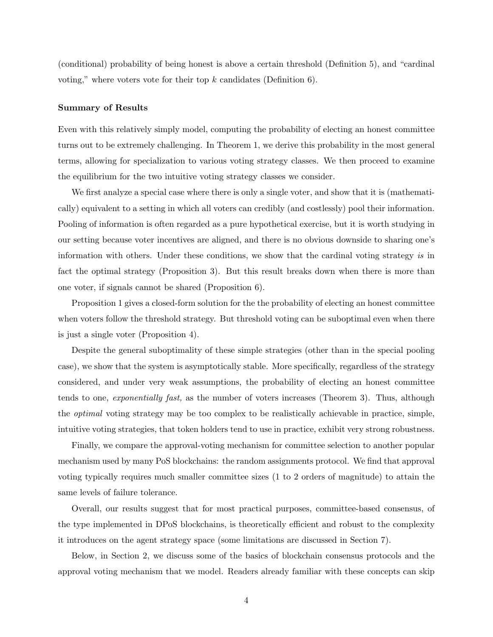(conditional) probability of being honest is above a certain threshold (Definition [5\)](#page-14-0), and "cardinal voting," where voters vote for their top  $k$  candidates (Definition [6\)](#page-15-0).

#### Summary of Results

Even with this relatively simply model, computing the probability of electing an honest committee turns out to be extremely challenging. In Theorem [1,](#page-15-1) we derive this probability in the most general terms, allowing for specialization to various voting strategy classes. We then proceed to examine the equilibrium for the two intuitive voting strategy classes we consider.

We first analyze a special case where there is only a single voter, and show that it is (mathematically) equivalent to a setting in which all voters can credibly (and costlessly) pool their information. Pooling of information is often regarded as a pure hypothetical exercise, but it is worth studying in our setting because voter incentives are aligned, and there is no obvious downside to sharing one's information with others. Under these conditions, we show that the cardinal voting strategy is in fact the optimal strategy (Proposition [3\)](#page-20-0). But this result breaks down when there is more than one voter, if signals cannot be shared (Proposition [6\)](#page-21-0).

Proposition [1](#page-17-0) gives a closed-form solution for the the probability of electing an honest committee when voters follow the threshold strategy. But threshold voting can be suboptimal even when there is just a single voter (Proposition [4\)](#page-20-1).

Despite the general suboptimality of these simple strategies (other than in the special pooling case), we show that the system is asymptotically stable. More specifically, regardless of the strategy considered, and under very weak assumptions, the probability of electing an honest committee tends to one, exponentially fast, as the number of voters increases (Theorem [3\)](#page-22-0). Thus, although the optimal voting strategy may be too complex to be realistically achievable in practice, simple, intuitive voting strategies, that token holders tend to use in practice, exhibit very strong robustness.

Finally, we compare the approval-voting mechanism for committee selection to another popular mechanism used by many PoS blockchains: the random assignments protocol. We find that approval voting typically requires much smaller committee sizes (1 to 2 orders of magnitude) to attain the same levels of failure tolerance.

Overall, our results suggest that for most practical purposes, committee-based consensus, of the type implemented in DPoS blockchains, is theoretically efficient and robust to the complexity it introduces on the agent strategy space (some limitations are discussed in Section [7\)](#page-25-0).

Below, in Section [2,](#page-4-0) we discuss some of the basics of blockchain consensus protocols and the approval voting mechanism that we model. Readers already familiar with these concepts can skip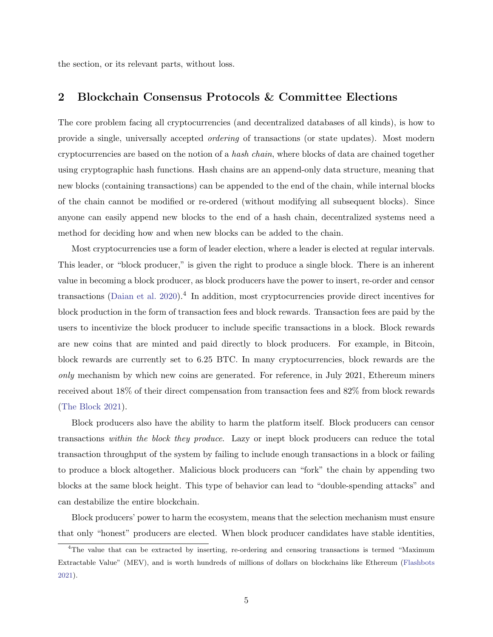the section, or its relevant parts, without loss.

## <span id="page-4-0"></span>2 Blockchain Consensus Protocols & Committee Elections

The core problem facing all cryptocurrencies (and decentralized databases of all kinds), is how to provide a single, universally accepted ordering of transactions (or state updates). Most modern cryptocurrencies are based on the notion of a hash chain, where blocks of data are chained together using cryptographic hash functions. Hash chains are an append-only data structure, meaning that new blocks (containing transactions) can be appended to the end of the chain, while internal blocks of the chain cannot be modified or re-ordered (without modifying all subsequent blocks). Since anyone can easily append new blocks to the end of a hash chain, decentralized systems need a method for deciding how and when new blocks can be added to the chain.

Most cryptocurrencies use a form of leader election, where a leader is elected at regular intervals. This leader, or "block producer," is given the right to produce a single block. There is an inherent value in becoming a block producer, as block producers have the power to insert, re-order and censor transactions [\(Daian et al.](#page-26-3) [2020\)](#page-26-3).<sup>4</sup> In addition, most cryptocurrencies provide direct incentives for block production in the form of transaction fees and block rewards. Transaction fees are paid by the users to incentivize the block producer to include specific transactions in a block. Block rewards are new coins that are minted and paid directly to block producers. For example, in Bitcoin, block rewards are currently set to 6.25 BTC. In many cryptocurrencies, block rewards are the only mechanism by which new coins are generated. For reference, in July 2021, Ethereum miners received about 18% of their direct compensation from transaction fees and 82% from block rewards [\(The Block](#page-29-4) [2021\)](#page-29-4).

Block producers also have the ability to harm the platform itself. Block producers can censor transactions within the block they produce. Lazy or inept block producers can reduce the total transaction throughput of the system by failing to include enough transactions in a block or failing to produce a block altogether. Malicious block producers can "fork" the chain by appending two blocks at the same block height. This type of behavior can lead to "double-spending attacks" and can destabilize the entire blockchain.

Block producers' power to harm the ecosystem, means that the selection mechanism must ensure that only "honest" producers are elected. When block producer candidates have stable identities,

<sup>4</sup>The value that can be extracted by inserting, re-ordering and censoring transactions is termed "Maximum Extractable Value" (MEV), and is worth hundreds of millions of dollars on blockchains like Ethereum [\(Flashbots](#page-27-1) [2021\)](#page-27-1).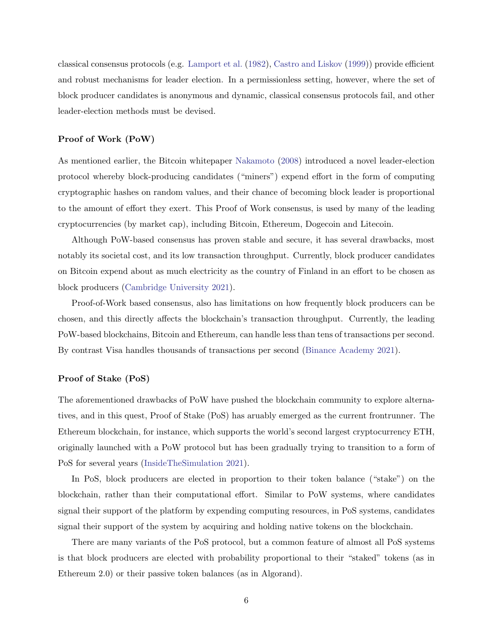classical consensus protocols (e.g. [Lamport et al.](#page-28-2) [\(1982\)](#page-28-2), [Castro and Liskov](#page-26-2) [\(1999\)](#page-26-2)) provide efficient and robust mechanisms for leader election. In a permissionless setting, however, where the set of block producer candidates is anonymous and dynamic, classical consensus protocols fail, and other leader-election methods must be devised.

#### Proof of Work (PoW)

As mentioned earlier, the Bitcoin whitepaper [Nakamoto](#page-28-0) [\(2008\)](#page-28-0) introduced a novel leader-election protocol whereby block-producing candidates ("miners") expend effort in the form of computing cryptographic hashes on random values, and their chance of becoming block leader is proportional to the amount of effort they exert. This Proof of Work consensus, is used by many of the leading cryptocurrencies (by market cap), including Bitcoin, Ethereum, Dogecoin and Litecoin.

Although PoW-based consensus has proven stable and secure, it has several drawbacks, most notably its societal cost, and its low transaction throughput. Currently, block producer candidates on Bitcoin expend about as much electricity as the country of Finland in an effort to be chosen as block producers [\(Cambridge University](#page-26-4) [2021\)](#page-26-4).

Proof-of-Work based consensus, also has limitations on how frequently block producers can be chosen, and this directly affects the blockchain's transaction throughput. Currently, the leading PoW-based blockchains, Bitcoin and Ethereum, can handle less than tens of transactions per second. By contrast Visa handles thousands of transactions per second [\(Binance Academy](#page-26-5) [2021\)](#page-26-5).

#### Proof of Stake (PoS)

The aforementioned drawbacks of PoW have pushed the blockchain community to explore alternatives, and in this quest, Proof of Stake (PoS) has aruably emerged as the current frontrunner. The Ethereum blockchain, for instance, which supports the world's second largest cryptocurrency ETH, originally launched with a PoW protocol but has been gradually trying to transition to a form of PoS for several years [\(InsideTheSimulation](#page-28-3) [2021\)](#page-28-3).

In PoS, block producers are elected in proportion to their token balance ("stake") on the blockchain, rather than their computational effort. Similar to PoW systems, where candidates signal their support of the platform by expending computing resources, in PoS systems, candidates signal their support of the system by acquiring and holding native tokens on the blockchain.

There are many variants of the PoS protocol, but a common feature of almost all PoS systems is that block producers are elected with probability proportional to their "staked" tokens (as in Ethereum 2.0) or their passive token balances (as in Algorand).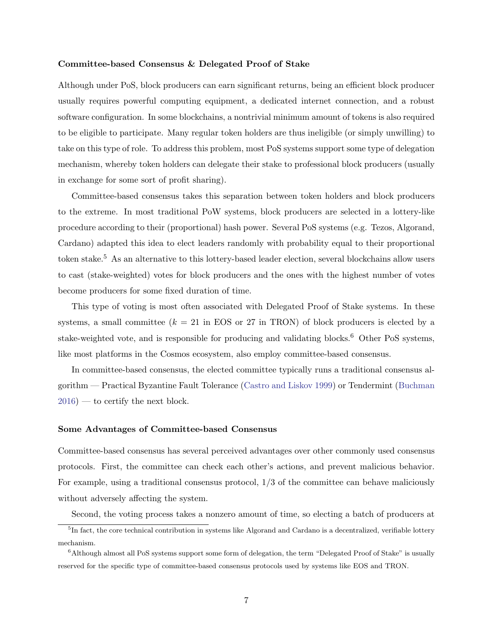#### Committee-based Consensus & Delegated Proof of Stake

Although under PoS, block producers can earn significant returns, being an efficient block producer usually requires powerful computing equipment, a dedicated internet connection, and a robust software configuration. In some blockchains, a nontrivial minimum amount of tokens is also required to be eligible to participate. Many regular token holders are thus ineligible (or simply unwilling) to take on this type of role. To address this problem, most PoS systems support some type of delegation mechanism, whereby token holders can delegate their stake to professional block producers (usually in exchange for some sort of profit sharing).

Committee-based consensus takes this separation between token holders and block producers to the extreme. In most traditional PoW systems, block producers are selected in a lottery-like procedure according to their (proportional) hash power. Several PoS systems (e.g. Tezos, Algorand, Cardano) adapted this idea to elect leaders randomly with probability equal to their proportional token stake.<sup>5</sup> As an alternative to this lottery-based leader election, several blockchains allow users to cast (stake-weighted) votes for block producers and the ones with the highest number of votes become producers for some fixed duration of time.

This type of voting is most often associated with Delegated Proof of Stake systems. In these systems, a small committee ( $k = 21$  in EOS or 27 in TRON) of block producers is elected by a stake-weighted vote, and is responsible for producing and validating blocks.<sup>6</sup> Other PoS systems, like most platforms in the Cosmos ecosystem, also employ committee-based consensus.

In committee-based consensus, the elected committee typically runs a traditional consensus algorithm — Practical Byzantine Fault Tolerance [\(Castro and Liskov](#page-26-2) [1999\)](#page-26-2) or Tendermint [\(Buchman](#page-26-6)  $2016$  — to certify the next block.

#### Some Advantages of Committee-based Consensus

Committee-based consensus has several perceived advantages over other commonly used consensus protocols. First, the committee can check each other's actions, and prevent malicious behavior. For example, using a traditional consensus protocol, 1/3 of the committee can behave maliciously without adversely affecting the system.

Second, the voting process takes a nonzero amount of time, so electing a batch of producers at

<sup>&</sup>lt;sup>5</sup>In fact, the core technical contribution in systems like Algorand and Cardano is a decentralized, verifiable lottery mechanism.

<sup>&</sup>lt;sup>6</sup>Although almost all PoS systems support some form of delegation, the term "Delegated Proof of Stake" is usually reserved for the specific type of committee-based consensus protocols used by systems like EOS and TRON.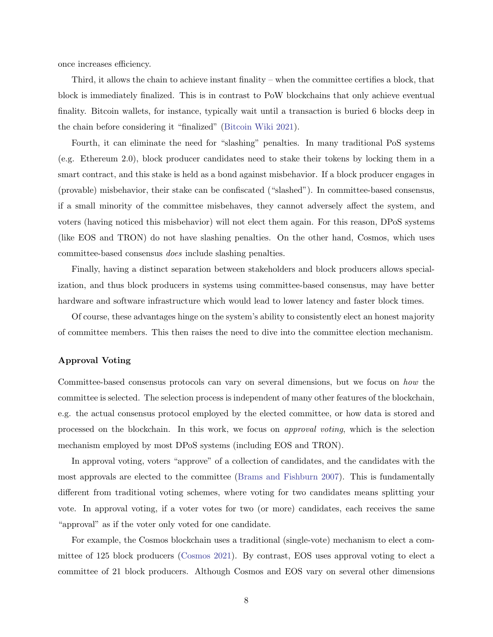once increases efficiency.

Third, it allows the chain to achieve instant finality – when the committee certifies a block, that block is immediately finalized. This is in contrast to PoW blockchains that only achieve eventual finality. Bitcoin wallets, for instance, typically wait until a transaction is buried 6 blocks deep in the chain before considering it "finalized" [\(Bitcoin Wiki](#page-26-7) [2021\)](#page-26-7).

Fourth, it can eliminate the need for "slashing" penalties. In many traditional PoS systems (e.g. Ethereum 2.0), block producer candidates need to stake their tokens by locking them in a smart contract, and this stake is held as a bond against misbehavior. If a block producer engages in (provable) misbehavior, their stake can be confiscated ("slashed"). In committee-based consensus, if a small minority of the committee misbehaves, they cannot adversely affect the system, and voters (having noticed this misbehavior) will not elect them again. For this reason, DPoS systems (like EOS and TRON) do not have slashing penalties. On the other hand, Cosmos, which uses committee-based consensus does include slashing penalties.

Finally, having a distinct separation between stakeholders and block producers allows specialization, and thus block producers in systems using committee-based consensus, may have better hardware and software infrastructure which would lead to lower latency and faster block times.

Of course, these advantages hinge on the system's ability to consistently elect an honest majority of committee members. This then raises the need to dive into the committee election mechanism.

## Approval Voting

Committee-based consensus protocols can vary on several dimensions, but we focus on how the committee is selected. The selection process is independent of many other features of the blockchain, e.g. the actual consensus protocol employed by the elected committee, or how data is stored and processed on the blockchain. In this work, we focus on approval voting, which is the selection mechanism employed by most DPoS systems (including EOS and TRON).

In approval voting, voters "approve" of a collection of candidates, and the candidates with the most approvals are elected to the committee [\(Brams and Fishburn](#page-26-1) [2007\)](#page-26-1). This is fundamentally different from traditional voting schemes, where voting for two candidates means splitting your vote. In approval voting, if a voter votes for two (or more) candidates, each receives the same "approval" as if the voter only voted for one candidate.

For example, the Cosmos blockchain uses a traditional (single-vote) mechanism to elect a committee of 125 block producers [\(Cosmos](#page-26-8) [2021\)](#page-26-8). By contrast, EOS uses approval voting to elect a committee of 21 block producers. Although Cosmos and EOS vary on several other dimensions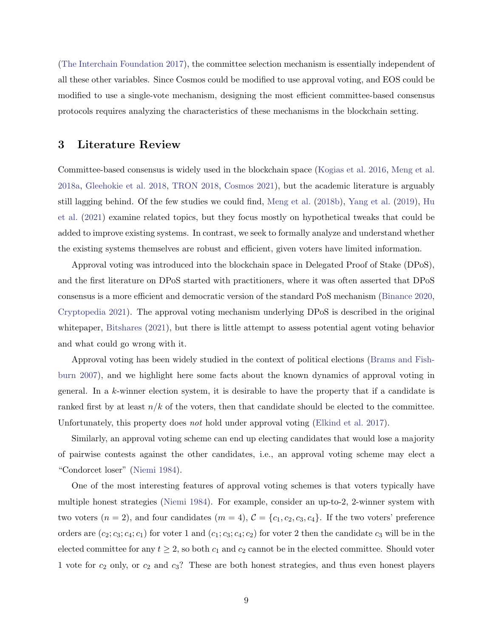[\(The Interchain Foundation](#page-29-0) [2017\)](#page-29-0), the committee selection mechanism is essentially independent of all these other variables. Since Cosmos could be modified to use approval voting, and EOS could be modified to use a single-vote mechanism, designing the most efficient committee-based consensus protocols requires analyzing the characteristics of these mechanisms in the blockchain setting.

## 3 Literature Review

Committee-based consensus is widely used in the blockchain space [\(Kogias et al.](#page-28-4) [2016,](#page-28-4) [Meng et al.](#page-28-5) [2018a,](#page-28-5) [Gleehokie et al.](#page-27-2) [2018,](#page-27-2) [TRON](#page-29-5) [2018,](#page-29-5) [Cosmos](#page-26-8) [2021\)](#page-26-8), but the academic literature is arguably still lagging behind. Of the few studies we could find, [Meng et al.](#page-28-6) [\(2018b\)](#page-28-6), [Yang et al.](#page-29-6) [\(2019\)](#page-29-6), [Hu](#page-27-3) [et al.](#page-27-3) [\(2021\)](#page-27-3) examine related topics, but they focus mostly on hypothetical tweaks that could be added to improve existing systems. In contrast, we seek to formally analyze and understand whether the existing systems themselves are robust and efficient, given voters have limited information.

Approval voting was introduced into the blockchain space in Delegated Proof of Stake (DPoS), and the first literature on DPoS started with practitioners, where it was often asserted that DPoS consensus is a more efficient and democratic version of the standard PoS mechanism [\(Binance](#page-26-9) [2020,](#page-26-9) [Cryptopedia](#page-26-10) [2021\)](#page-26-10). The approval voting mechanism underlying DPoS is described in the original whitepaper, [Bitshares](#page-26-11) [\(2021\)](#page-26-11), but there is little attempt to assess potential agent voting behavior and what could go wrong with it.

Approval voting has been widely studied in the context of political elections [\(Brams and Fish](#page-26-1)[burn](#page-26-1) [2007\)](#page-26-1), and we highlight here some facts about the known dynamics of approval voting in general. In a k-winner election system, it is desirable to have the property that if a candidate is ranked first by at least  $n/k$  of the voters, then that candidate should be elected to the committee. Unfortunately, this property does *not* hold under approval voting [\(Elkind et al.](#page-27-4) [2017\)](#page-27-4).

Similarly, an approval voting scheme can end up electing candidates that would lose a majority of pairwise contests against the other candidates, i.e., an approval voting scheme may elect a "Condorcet loser" [\(Niemi](#page-28-7) [1984\)](#page-28-7).

One of the most interesting features of approval voting schemes is that voters typically have multiple honest strategies [\(Niemi](#page-28-7) [1984\)](#page-28-7). For example, consider an up-to-2, 2-winner system with two voters  $(n = 2)$ , and four candidates  $(m = 4)$ ,  $C = \{c_1, c_2, c_3, c_4\}$ . If the two voters' preference orders are  $(c_2; c_3; c_4; c_1)$  for voter 1 and  $(c_1; c_3; c_4; c_2)$  for voter 2 then the candidate  $c_3$  will be in the elected committee for any  $t \geq 2$ , so both  $c_1$  and  $c_2$  cannot be in the elected committee. Should voter 1 vote for  $c_2$  only, or  $c_2$  and  $c_3$ ? These are both honest strategies, and thus even honest players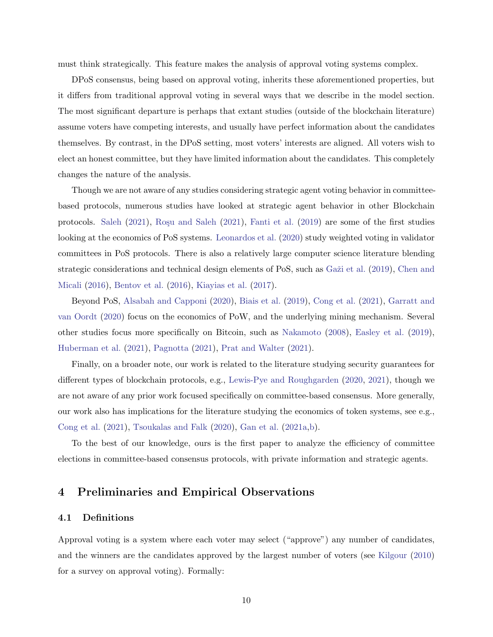must think strategically. This feature makes the analysis of approval voting systems complex.

DPoS consensus, being based on approval voting, inherits these aforementioned properties, but it differs from traditional approval voting in several ways that we describe in the model section. The most significant departure is perhaps that extant studies (outside of the blockchain literature) assume voters have competing interests, and usually have perfect information about the candidates themselves. By contrast, in the DPoS setting, most voters' interests are aligned. All voters wish to elect an honest committee, but they have limited information about the candidates. This completely changes the nature of the analysis.

Though we are not aware of any studies considering strategic agent voting behavior in committeebased protocols, numerous studies have looked at strategic agent behavior in other Blockchain protocols. [Saleh](#page-29-3) [\(2021\)](#page-29-7), Roșu and Saleh (2021), [Fanti et al.](#page-27-5) [\(2019\)](#page-27-5) are some of the first studies looking at the economics of PoS systems. [Leonardos et al.](#page-28-8) [\(2020\)](#page-28-8) study weighted voting in validator committees in PoS protocols. There is also a relatively large computer science literature blending strategic considerations and technical design elements of PoS, such as Ga $\check{z}$ i et al. [\(2019\)](#page-27-6), [Chen and](#page-26-12) [Micali](#page-26-12) [\(2016\)](#page-26-12), [Bentov et al.](#page-25-1) [\(2016\)](#page-25-1), [Kiayias et al.](#page-28-9) [\(2017\)](#page-28-9).

Beyond PoS, [Alsabah and Capponi](#page-25-2) [\(2020\)](#page-25-2), [Biais et al.](#page-26-13) [\(2019\)](#page-26-13), [Cong et al.](#page-26-14) [\(2021\)](#page-26-14), [Garratt and](#page-27-7) [van Oordt](#page-27-7) [\(2020\)](#page-27-7) focus on the economics of PoW, and the underlying mining mechanism. Several other studies focus more specifically on Bitcoin, such as [Nakamoto](#page-28-0) [\(2008\)](#page-28-0), [Easley et al.](#page-27-8) [\(2019\)](#page-27-8), [Huberman et al.](#page-27-9) [\(2021\)](#page-27-9), [Pagnotta](#page-28-10) [\(2021\)](#page-28-10), [Prat and Walter](#page-28-11) [\(2021\)](#page-28-11).

Finally, on a broader note, our work is related to the literature studying security guarantees for different types of blockchain protocols, e.g., [Lewis-Pye and Roughgarden](#page-28-12) [\(2020,](#page-28-12) [2021\)](#page-28-13), though we are not aware of any prior work focused specifically on committee-based consensus. More generally, our work also has implications for the literature studying the economics of token systems, see e.g., [Cong et al.](#page-26-14) [\(2021\)](#page-26-14), [Tsoukalas and Falk](#page-29-8) [\(2020\)](#page-29-8), [Gan et al.](#page-27-10) [\(2021a](#page-27-10)[,b\)](#page-27-11).

To the best of our knowledge, ours is the first paper to analyze the efficiency of committee elections in committee-based consensus protocols, with private information and strategic agents.

## 4 Preliminaries and Empirical Observations

## 4.1 Definitions

Approval voting is a system where each voter may select ("approve") any number of candidates, and the winners are the candidates approved by the largest number of voters (see [Kilgour](#page-28-14) [\(2010\)](#page-28-14) for a survey on approval voting). Formally: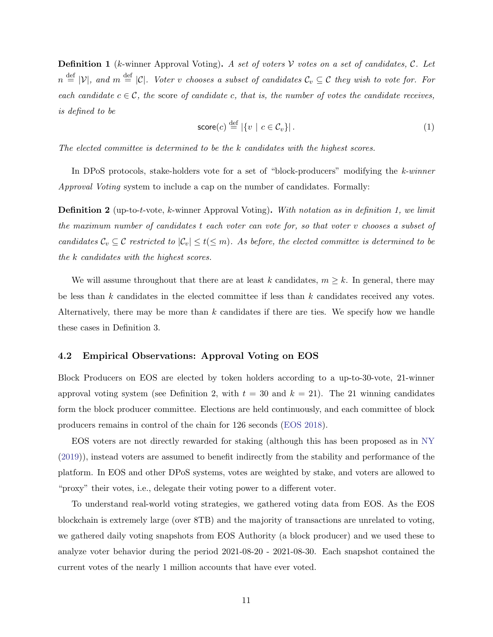<span id="page-10-0"></span>**Definition 1** (k-winner Approval Voting). A set of voters V votes on a set of candidates, C. Let  $n \stackrel{\text{def}}{=} |\mathcal{V}|$ , and  $m \stackrel{\text{def}}{=} |\mathcal{C}|$ . Voter v chooses a subset of candidates  $\mathcal{C}_v \subseteq \mathcal{C}$  they wish to vote for. For each candidate  $c \in \mathcal{C}$ , the score of candidate c, that is, the number of votes the candidate receives, is defined to be

$$
score(c) \stackrel{\text{def}}{=} |\{v \mid c \in \mathcal{C}_v\}|. \tag{1}
$$

The elected committee is determined to be the k candidates with the highest scores.

In DPoS protocols, stake-holders vote for a set of "block-producers" modifying the k-winner Approval Voting system to include a cap on the number of candidates. Formally:

<span id="page-10-1"></span>**Definition 2** (up-to-t-vote, k-winner Approval Voting). With notation as in definition [1,](#page-10-0) we limit the maximum number of candidates t each voter can vote for, so that voter v chooses a subset of candidates  $\mathcal{C}_v \subseteq \mathcal{C}$  restricted to  $|\mathcal{C}_v| \le t (\le m)$ . As before, the elected committee is determined to be the k candidates with the highest scores.

We will assume throughout that there are at least k candidates,  $m \geq k$ . In general, there may be less than  $k$  candidates in the elected committee if less than  $k$  candidates received any votes. Alternatively, there may be more than  $k$  candidates if there are ties. We specify how we handle these cases in Definition [3.](#page-12-0)

#### <span id="page-10-2"></span>4.2 Empirical Observations: Approval Voting on EOS

Block Producers on EOS are elected by token holders according to a up-to-30-vote, 21-winner approval voting system (see Definition [2,](#page-10-1) with  $t = 30$  and  $k = 21$ ). The 21 winning candidates form the block producer committee. Elections are held continuously, and each committee of block producers remains in control of the chain for 126 seconds [\(EOS](#page-27-12) [2018\)](#page-27-12).

EOS voters are not directly rewarded for staking (although this has been proposed as in [NY](#page-28-15) [\(2019\)](#page-28-15)), instead voters are assumed to benefit indirectly from the stability and performance of the platform. In EOS and other DPoS systems, votes are weighted by stake, and voters are allowed to "proxy" their votes, i.e., delegate their voting power to a different voter.

To understand real-world voting strategies, we gathered voting data from EOS. As the EOS blockchain is extremely large (over 8TB) and the majority of transactions are unrelated to voting, we gathered daily voting snapshots from EOS Authority (a block producer) and we used these to analyze voter behavior during the period 2021-08-20 - 2021-08-30. Each snapshot contained the current votes of the nearly 1 million accounts that have ever voted.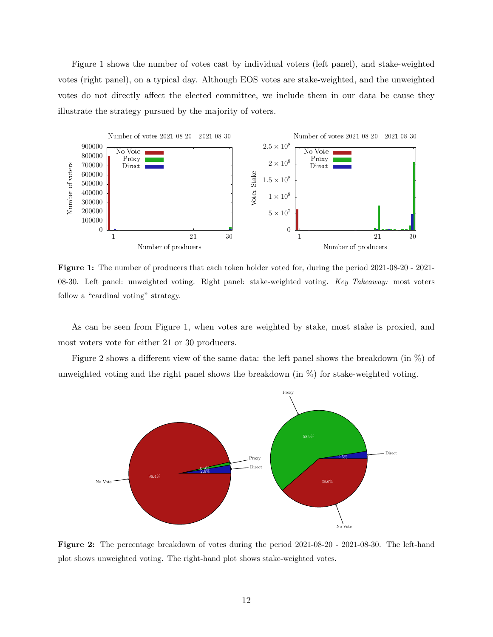Figure [1](#page-11-0) shows the number of votes cast by individual voters (left panel), and stake-weighted votes (right panel), on a typical day. Although EOS votes are stake-weighted, and the unweighted votes do not directly affect the elected committee, we include them in our data be cause they illustrate the strategy pursued by the majority of voters.

<span id="page-11-0"></span>

Figure 1: The number of producers that each token holder voted for, during the period 2021-08-20 - 2021- 08-30. Left panel: unweighted voting. Right panel: stake-weighted voting. Key Takeaway: most voters follow a "cardinal voting" strategy.

As can be seen from Figure [1,](#page-11-0) when votes are weighted by stake, most stake is proxied, and most voters vote for either 21 or 30 producers.

Figure [2](#page-11-1) shows a different view of the same data: the left panel shows the breakdown (in %) of unweighted voting and the right panel shows the breakdown (in %) for stake-weighted voting.

<span id="page-11-1"></span>

Figure 2: The percentage breakdown of votes during the period 2021-08-20 - 2021-08-30. The left-hand plot shows unweighted voting. The right-hand plot shows stake-weighted votes.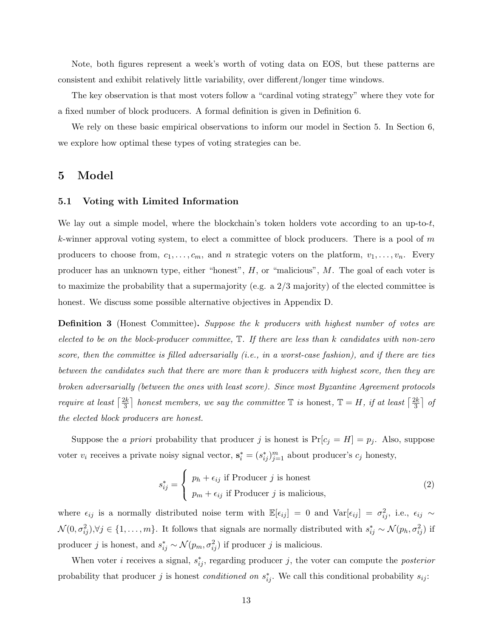Note, both figures represent a week's worth of voting data on EOS, but these patterns are consistent and exhibit relatively little variability, over different/longer time windows.

The key observation is that most voters follow a "cardinal voting strategy" where they vote for a fixed number of block producers. A formal definition is given in Definition [6.](#page-15-0)

We rely on these basic empirical observations to inform our model in Section [5.](#page-12-1) In Section [6,](#page-15-2) we explore how optimal these types of voting strategies can be.

## <span id="page-12-1"></span>5 Model

#### 5.1 Voting with Limited Information

We lay out a simple model, where the blockchain's token holders vote according to an up-to-t, k-winner approval voting system, to elect a committee of block producers. There is a pool of  $m$ producers to choose from,  $c_1, \ldots, c_m$ , and n strategic voters on the platform,  $v_1, \ldots, v_n$ . Every producer has an unknown type, either "honest",  $H$ , or "malicious",  $M$ . The goal of each voter is to maximize the probability that a supermajority (e.g. a 2/3 majority) of the elected committee is honest. We discuss some possible alternative objectives in Appendix [D.](#page-46-0)

<span id="page-12-0"></span>**Definition 3** (Honest Committee). Suppose the k producers with highest number of votes are elected to be on the block-producer committee,  $\mathbb{T}$ . If there are less than k candidates with non-zero score, then the committee is filled adversarially  $(i.e., in a worst-case fashion)$ , and if there are ties between the candidates such that there are more than k producers with highest score, then they are broken adversarially (between the ones with least score). Since most Byzantine Agreement protocols require at least  $\lceil \frac{2k}{3} \rceil$  $\frac{2k}{3}$  honest members, we say the committee  $\mathbb T$  is honest,  $\mathbb T = H$ , if at least  $\lceil \frac{2k}{3} \rceil$  $\frac{2k}{3}$  of the elected block producers are honest.

Suppose the *a priori* probability that producer *j* is honest is  $Pr[c_j = H] = p_j$ . Also, suppose voter  $v_i$  receives a private noisy signal vector,  $\mathbf{s}_i^* = (s_{ij}^*)_{j=1}^m$  about producer's  $c_j$  honesty,

<span id="page-12-2"></span>
$$
s_{ij}^* = \begin{cases} p_h + \epsilon_{ij} \text{ if Product } j \text{ is honest} \\ p_m + \epsilon_{ij} \text{ if Product } j \text{ is malicious,} \end{cases}
$$
 (2)

where  $\epsilon_{ij}$  is a normally distributed noise term with  $\mathbb{E}[\epsilon_{ij}] = 0$  and  $\text{Var}[\epsilon_{ij}] = \sigma_{ij}^2$ , i.e.,  $\epsilon_{ij} \sim$  $\mathcal{N}(0, \sigma_{ij}^2), \forall j \in \{1, \ldots, m\}$ . It follows that signals are normally distributed with  $s_{ij}^* \sim \mathcal{N}(p_h, \sigma_{ij}^2)$  if producer *j* is honest, and  $s_{ij}^* \sim \mathcal{N}(p_m, \sigma_{ij}^2)$  if producer *j* is malicious.

When voter *i* receives a signal,  $s_{ij}^*$ , regarding producer *j*, the voter can compute the *posterior* probability that producer j is honest *conditioned on*  $s_{ij}^*$ . We call this conditional probability  $s_{ij}$ :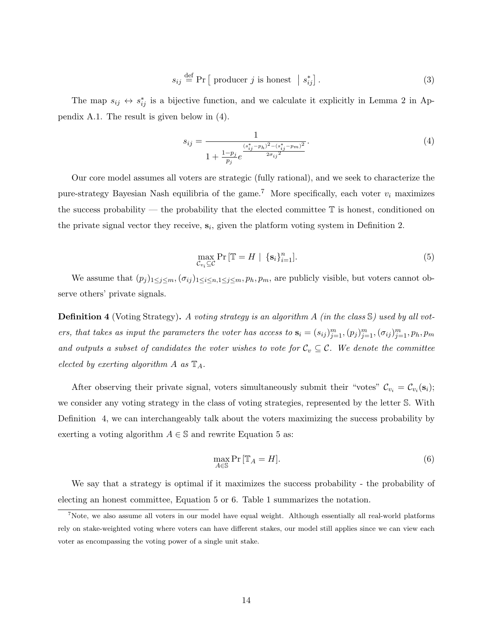$$
s_{ij} \stackrel{\text{def}}{=} \Pr \left[ \text{ producer } j \text{ is honest } \middle| s_{ij}^* \right]. \tag{3}
$$

The map  $s_{ij} \leftrightarrow s_{ij}^*$  is a bijective function, and we calculate it explicitly in Lemma [2](#page-30-0) in Appendix [A.1.](#page-30-1) The result is given below in [\(4\)](#page-13-0).

<span id="page-13-0"></span>
$$
s_{ij} = \frac{1}{1 + \frac{1 - p_j}{p_j} e^{\frac{(s_{ij}^* - p_h)^2 - (s_{ij}^* - p_m)^2}{2\sigma_{ij}^2}}}.
$$
\n
$$
(4)
$$

Our core model assumes all voters are strategic (fully rational), and we seek to characterize the pure-strategy Bayesian Nash equilibria of the game.<sup>7</sup> More specifically, each voter  $v_i$  maximizes the success probability — the probability that the elected committee T is honest, conditioned on the private signal vector they receive,  $s_i$ , given the platform voting system in Definition [2.](#page-10-1)

<span id="page-13-2"></span>
$$
\max_{\mathcal{C}_{v_i} \subseteq \mathcal{C}} \Pr\left[\mathbb{T} = H \mid \{\mathbf{s}_i\}_{i=1}^n\right].\tag{5}
$$

We assume that  $(p_j)_{1\leq j\leq m},(\sigma_{ij})_{1\leq i\leq n,1\leq j\leq m}, p_h, p_m$ , are publicly visible, but voters cannot observe others' private signals.

<span id="page-13-1"></span>**Definition 4** (Voting Strategy). A voting strategy is an algorithm A (in the class  $\mathcal{S}$ ) used by all voters, that takes as input the parameters the voter has access to  $\mathbf{s}_i = (s_{ij})_{j=1}^m, (p_j)_{j=1}^m, (\sigma_{ij})_{j=1}^m, p_h, p_m$ and outputs a subset of candidates the voter wishes to vote for  $C_v \subseteq \mathcal{C}$ . We denote the committee elected by exerting algorithm  $A$  as  $\mathbb{T}_A$ .

After observing their private signal, voters simultaneously submit their "votes"  $\mathcal{C}_{v_i} = \mathcal{C}_{v_i}(\mathbf{s}_i)$ ; we consider any voting strategy in the class of voting strategies, represented by the letter S. With Definition [4,](#page-13-1) we can interchangeably talk about the voters maximizing the success probability by exerting a voting algorithm  $A \in \mathbb{S}$  and rewrite Equation [5](#page-13-2) as:

<span id="page-13-3"></span>
$$
\max_{A \in \mathbb{S}} \Pr\left[\mathbb{T}_A = H\right].\tag{6}
$$

We say that a strategy is optimal if it maximizes the success probability - the probability of electing an honest committee, Equation [5](#page-13-2) or [6.](#page-13-3) Table [1](#page-14-1) summarizes the notation.

<sup>&</sup>lt;sup>7</sup>Note, we also assume all voters in our model have equal weight. Although essentially all real-world platforms rely on stake-weighted voting where voters can have different stakes, our model still applies since we can view each voter as encompassing the voting power of a single unit stake.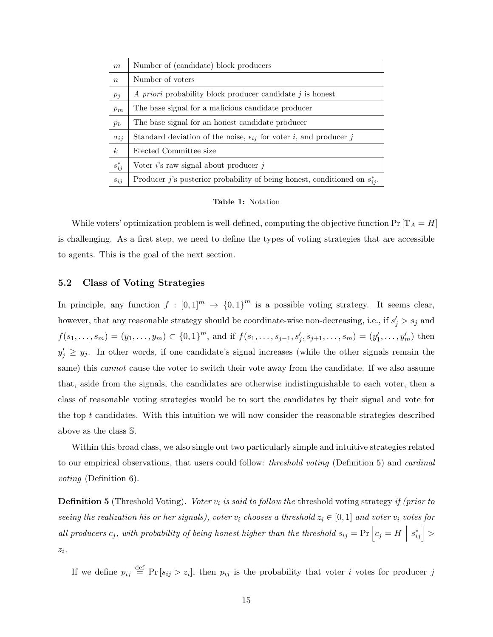<span id="page-14-1"></span>

| m                | Number of (candidate) block producers                                           |
|------------------|---------------------------------------------------------------------------------|
| $\boldsymbol{n}$ | Number of voters                                                                |
| $p_j$            | A priori probability block producer candidate j is honest                       |
| $p_m$            | The base signal for a malicious candidate producer                              |
| $p_h$            | The base signal for an honest candidate producer                                |
| $\sigma_{ij}$    | Standard deviation of the noise, $\epsilon_{ij}$ for voter i, and producer j    |
| $\boldsymbol{k}$ | Elected Committee size                                                          |
| $s_{ij}^*$       | Voter $i$ 's raw signal about producer $j$                                      |
| $s_{ij}$         | Producer j's posterior probability of being honest, conditioned on $s_{ij}^*$ . |

Table 1: Notation

While voters' optimization problem is well-defined, computing the objective function  $Pr[\mathbb{T}_A = H]$ is challenging. As a first step, we need to define the types of voting strategies that are accessible to agents. This is the goal of the next section.

## 5.2 Class of Voting Strategies

In principle, any function  $f : [0,1]^m \to {0,1}^m$  is a possible voting strategy. It seems clear, however, that any reasonable strategy should be coordinate-wise non-decreasing, i.e., if  $s'_j > s_j$  and  $f(s_1,...,s_m) = (y_1,...,y_m) \subset \{0,1\}^m$ , and if  $f(s_1,...,s_{j-1},s'_j,s_{j+1},...,s_m) = (y'_1,...,y'_m)$  then  $y'_j \geq y_j$ . In other words, if one candidate's signal increases (while the other signals remain the same) this *cannot* cause the voter to switch their vote away from the candidate. If we also assume that, aside from the signals, the candidates are otherwise indistinguishable to each voter, then a class of reasonable voting strategies would be to sort the candidates by their signal and vote for the top t candidates. With this intuition we will now consider the reasonable strategies described above as the class S.

Within this broad class, we also single out two particularly simple and intuitive strategies related to our empirical observations, that users could follow: *threshold voting* (Definition [5\)](#page-14-0) and *cardinal* voting (Definition [6\)](#page-15-0).

<span id="page-14-0"></span>**Definition 5** (Threshold Voting). Voter  $v_i$  is said to follow the threshold voting strategy if (prior to seeing the realization his or her signals), voter  $v_i$  chooses a threshold  $z_i \in [0,1]$  and voter  $v_i$  votes for all producers  $c_j$ , with probability of being honest higher than the threshold  $s_{ij} = \Pr \left[ c_j = H \right]$  $s_{ij}^*$   $>$  $z_i$ .

If we define  $p_{ij} \stackrel{\text{def}}{=} \Pr[s_{ij} > z_i]$ , then  $p_{ij}$  is the probability that voter i votes for producer j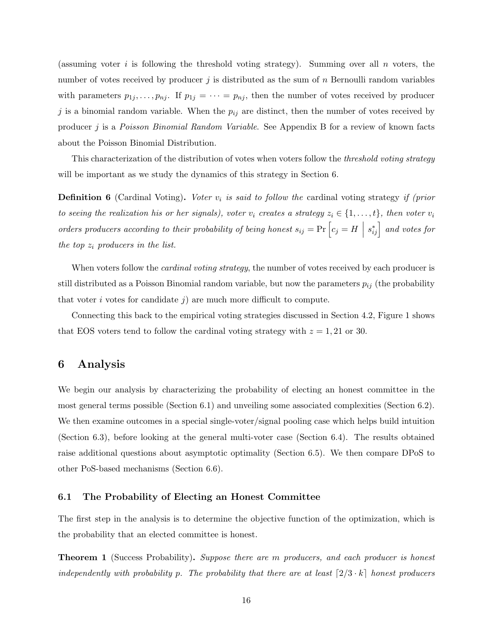(assuming voter i is following the threshold voting strategy). Summing over all n voters, the number of votes received by producer j is distributed as the sum of  $n$  Bernoulli random variables with parameters  $p_{1j}, \ldots, p_{nj}$ . If  $p_{1j} = \cdots = p_{nj}$ , then the number of votes received by producer j is a binomial random variable. When the  $p_{ij}$  are distinct, then the number of votes received by producer j is a Poisson Binomial Random Variable. See Appendix [B](#page-42-0) for a review of known facts about the Poisson Binomial Distribution.

This characterization of the distribution of votes when voters follow the threshold voting strategy will be important as we study the dynamics of this strategy in Section [6.](#page-15-2)

<span id="page-15-0"></span>**Definition 6** (Cardinal Voting). Voter  $v_i$  is said to follow the cardinal voting strategy if (prior to seeing the realization his or her signals), voter  $v_i$  creates a strategy  $z_i \in \{1, \ldots, t\}$ , then voter  $v_i$ orders producers according to their probability of being honest  $s_{ij} = \Pr\left[c_j = H\ \Big|$  $s_{ij}^*$  and votes for the top  $z_i$  producers in the list.

When voters follow the *cardinal voting strategy*, the number of votes received by each producer is still distributed as a Poisson Binomial random variable, but now the parameters  $p_{ij}$  (the probability that voter i votes for candidate j) are much more difficult to compute.

Connecting this back to the empirical voting strategies discussed in Section [4.2,](#page-10-2) Figure [1](#page-11-0) shows that EOS voters tend to follow the cardinal voting strategy with  $z = 1, 21$  or 30.

# <span id="page-15-2"></span>6 Analysis

We begin our analysis by characterizing the probability of electing an honest committee in the most general terms possible (Section [6.1\)](#page-15-3) and unveiling some associated complexities (Section [6.2\)](#page-17-1). We then examine outcomes in a special single-voter/signal pooling case which helps build intuition (Section [6.3\)](#page-19-0), before looking at the general multi-voter case (Section [6.4\)](#page-21-1). The results obtained raise additional questions about asymptotic optimality (Section [6.5\)](#page-22-1). We then compare DPoS to other PoS-based mechanisms (Section [6.6\)](#page-23-0).

## <span id="page-15-3"></span>6.1 The Probability of Electing an Honest Committee

The first step in the analysis is to determine the objective function of the optimization, which is the probability that an elected committee is honest.

<span id="page-15-1"></span>**Theorem 1** (Success Probability). Suppose there are m producers, and each producer is honest independently with probability p. The probability that there are at least  $[2/3 \cdot k]$  honest producers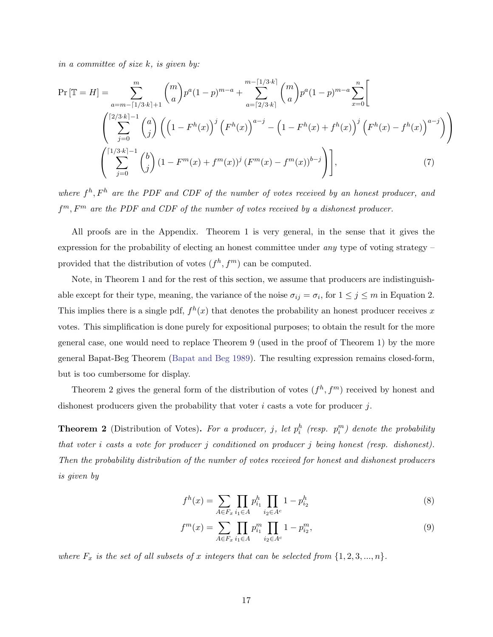in a committee of size  $k$ , is given by:

$$
\Pr\left[\mathbb{T}=H\right] = \sum_{a=m-\lceil 1/3 \cdot k \rceil+1}^{m} {m \choose a} p^a (1-p)^{m-a} + \sum_{a=\lceil 2/3 \cdot k \rceil}^{m-\lceil 1/3 \cdot k \rceil} {m \choose a} p^a (1-p)^{m-a} \sum_{x=0}^{n} \left[ \sum_{j=0}^{\lceil 2/3 \cdot k \rceil-1} {a \choose j} \left( \left( 1 - F^h(x) \right)^j \left( F^h(x) \right)^{a-j} - \left( 1 - F^h(x) + f^h(x) \right)^j \left( F^h(x) - f^h(x) \right)^{a-j} \right) \right] \left( \sum_{j=0}^{\lceil 1/3 \cdot k \rceil-1} {b \choose j} \left( 1 - F^m(x) + f^m(x) \right)^j \left( F^m(x) - f^m(x) \right)^{b-j} \right) \right],
$$
\n(7)

where  $f^h$ ,  $F^h$  are the PDF and CDF of the number of votes received by an honest producer, and  $f^m, F^m$  are the PDF and CDF of the number of votes received by a dishonest producer.

All proofs are in the Appendix. Theorem [1](#page-15-1) is very general, in the sense that it gives the expression for the probability of electing an honest committee under any type of voting strategy – provided that the distribution of votes  $(f<sup>h</sup>, f<sup>m</sup>)$  can be computed.

Note, in Theorem [1](#page-15-1) and for the rest of this section, we assume that producers are indistinguishable except for their type, meaning, the variance of the noise  $\sigma_{ij} = \sigma_i$ , for  $1 \leq j \leq m$  in Equation [2.](#page-12-2) This implies there is a single pdf,  $f^h(x)$  that denotes the probability an honest producer receives x votes. This simplification is done purely for expositional purposes; to obtain the result for the more general case, one would need to replace Theorem 9 (used in the proof of Theorem 1) by the more general Bapat-Beg Theorem [\(Bapat and Beg](#page-25-3) [1989\)](#page-25-3). The resulting expression remains closed-form, but is too cumbersome for display.

Theorem [2](#page-16-0) gives the general form of the distribution of votes  $(f<sup>h</sup>, f<sup>m</sup>)$  received by honest and dishonest producers given the probability that voter  $i$  casts a vote for producer  $j$ .

<span id="page-16-0"></span>**Theorem 2** (Distribution of Votes). For a producer, j, let  $p_i^h$  (resp.  $p_i^m$ ) denote the probability that voter i casts a vote for producer j conditioned on producer j being honest (resp. dishonest). Then the probability distribution of the number of votes received for honest and dishonest producers is given by

$$
f^h(x) = \sum_{A \in F_x} \prod_{i_1 \in A} p_{i_1}^h \prod_{i_2 \in A^c} 1 - p_{i_2}^h \tag{8}
$$

$$
f^{m}(x) = \sum_{A \in F_{x}} \prod_{i_{1} \in A} p_{i_{1}}^{m} \prod_{i_{2} \in A^{c}} 1 - p_{i_{2}}^{m},
$$
\n(9)

where  $F_x$  is the set of all subsets of x integers that can be selected from  $\{1, 2, 3, ..., n\}$ .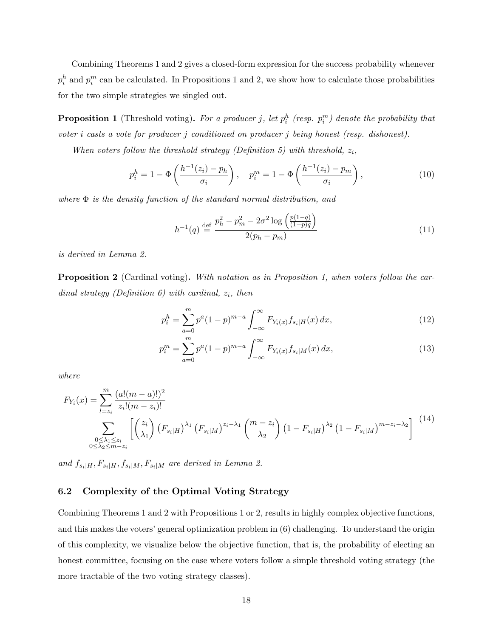Combining Theorems [1](#page-15-1) and [2](#page-16-0) gives a closed-form expression for the success probability whenever  $p_i^h$  and  $p_i^m$  can be calculated. In Propositions [1](#page-17-0) and [2,](#page-17-2) we show how to calculate those probabilities for the two simple strategies we singled out.

<span id="page-17-0"></span>**Proposition 1** (Threshold voting). For a producer j, let  $p_i^h$  (resp.  $p_i^m$ ) denote the probability that voter i casts a vote for producer j conditioned on producer j being honest (resp. dishonest).

When voters follow the threshold strategy (Definition [5\)](#page-14-0) with threshold,  $z_i$ ,

$$
p_i^h = 1 - \Phi\left(\frac{h^{-1}(z_i) - p_h}{\sigma_i}\right), \quad p_i^m = 1 - \Phi\left(\frac{h^{-1}(z_i) - p_m}{\sigma_i}\right),\tag{10}
$$

where  $\Phi$  is the density function of the standard normal distribution, and

$$
h^{-1}(q) \stackrel{\text{def}}{=} \frac{p_h^2 - p_m^2 - 2\sigma^2 \log\left(\frac{p(1-q)}{(1-p)q}\right)}{2(p_h - p_m)}
$$
(11)

is derived in Lemma [2.](#page-30-0)

<span id="page-17-2"></span>**Proposition 2** (Cardinal voting). With notation as in Proposition [1,](#page-17-0) when voters follow the car-dinal strategy (Definition [6\)](#page-15-0) with cardinal,  $z_i$ , then

$$
p_i^h = \sum_{a=0}^m p^a (1-p)^{m-a} \int_{-\infty}^\infty F_{Y_i(x)} f_{s_i|H}(x) \, dx,\tag{12}
$$

$$
p_i^m = \sum_{a=0}^m p^a (1-p)^{m-a} \int_{-\infty}^{\infty} F_{Y_i(x)} f_{s_i|M}(x) dx,
$$
\n(13)

where

$$
F_{Y_i}(x) = \sum_{l=z_i}^{m} \frac{(a!(m-a)!)^2}{z_i!(m-z_i)!}
$$
  

$$
\sum_{\substack{0 \le \lambda_1 \le z_i \\ 0 \le \lambda_2 \le m-z_i}} \left[ \binom{z_i}{\lambda_1} \left( F_{s_i|H} \right)^{\lambda_1} \left( F_{s_i|M} \right)^{z_i-\lambda_1} \binom{m-z_i}{\lambda_2} \left( 1 - F_{s_i|H} \right)^{\lambda_2} \left( 1 - F_{s_i|M} \right)^{m-z_i-\lambda_2} \right] \tag{14}
$$

and  $f_{s_i|H}$ ,  $F_{s_i|H}$ ,  $f_{s_i|M}$ ,  $F_{s_i|M}$  are derived in Lemma [2.](#page-30-0)

## <span id="page-17-1"></span>6.2 Complexity of the Optimal Voting Strategy

Combining Theorems [1](#page-15-1) and [2](#page-16-0) with Propositions [1](#page-17-0) or [2,](#page-17-2) results in highly complex objective functions, and this makes the voters' general optimization problem in [\(6\)](#page-13-3) challenging. To understand the origin of this complexity, we visualize below the objective function, that is, the probability of electing an honest committee, focusing on the case where voters follow a simple threshold voting strategy (the more tractable of the two voting strategy classes).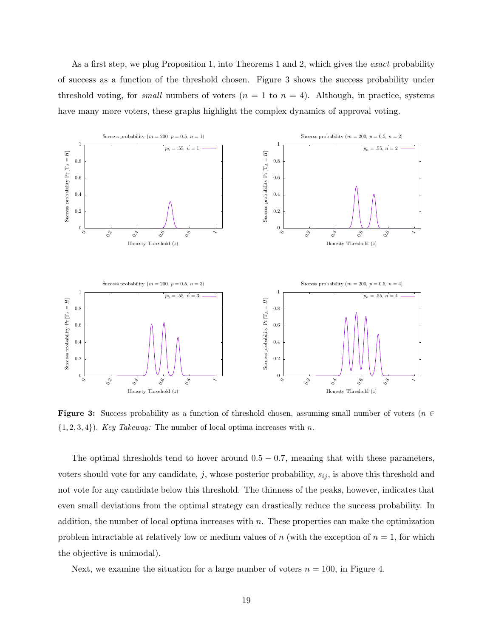As a first step, we plug Proposition [1,](#page-17-0) into Theorems [1](#page-15-1) and [2,](#page-16-0) which gives the exact probability of success as a function of the threshold chosen. Figure [3](#page-18-0) shows the success probability under threshold voting, for *small* numbers of voters  $(n = 1 \text{ to } n = 4)$ . Although, in practice, systems have many more voters, these graphs highlight the complex dynamics of approval voting.

<span id="page-18-0"></span>

**Figure 3:** Success probability as a function of threshold chosen, assuming small number of voters ( $n \in$  $\{1, 2, 3, 4\}$ . Key Takeway: The number of local optima increases with n.

The optimal thresholds tend to hover around  $0.5 - 0.7$ , meaning that with these parameters, voters should vote for any candidate, j, whose posterior probability,  $s_{ij}$ , is above this threshold and not vote for any candidate below this threshold. The thinness of the peaks, however, indicates that even small deviations from the optimal strategy can drastically reduce the success probability. In addition, the number of local optima increases with  $n$ . These properties can make the optimization problem intractable at relatively low or medium values of n (with the exception of  $n = 1$ , for which the objective is unimodal).

Next, we examine the situation for a large number of voters  $n = 100$ , in Figure [4.](#page-19-1)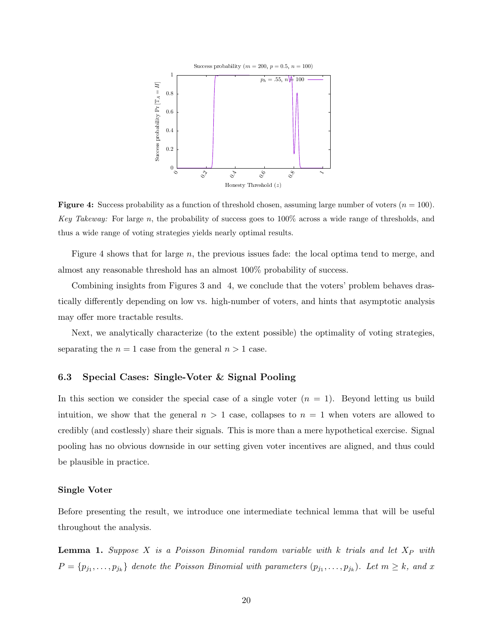<span id="page-19-1"></span>

**Figure 4:** Success probability as a function of threshold chosen, assuming large number of voters  $(n = 100)$ . Key Takeway: For large n, the probability of success goes to  $100\%$  across a wide range of thresholds, and thus a wide range of voting strategies yields nearly optimal results.

Figure [4](#page-19-1) shows that for large n, the previous issues fade: the local optima tend to merge, and almost any reasonable threshold has an almost 100% probability of success.

Combining insights from Figures [3](#page-18-0) and [4,](#page-19-1) we conclude that the voters' problem behaves drastically differently depending on low vs. high-number of voters, and hints that asymptotic analysis may offer more tractable results.

Next, we analytically characterize (to the extent possible) the optimality of voting strategies, separating the  $n = 1$  case from the general  $n > 1$  case.

## <span id="page-19-0"></span>6.3 Special Cases: Single-Voter & Signal Pooling

In this section we consider the special case of a single voter  $(n = 1)$ . Beyond letting us build intuition, we show that the general  $n > 1$  case, collapses to  $n = 1$  when voters are allowed to credibly (and costlessly) share their signals. This is more than a mere hypothetical exercise. Signal pooling has no obvious downside in our setting given voter incentives are aligned, and thus could be plausible in practice.

#### Single Voter

Before presenting the result, we introduce one intermediate technical lemma that will be useful throughout the analysis.

<span id="page-19-2"></span>**Lemma 1.** Suppose X is a Poisson Binomial random variable with k trials and let  $X_P$  with  $P = \{p_{j_1}, \ldots, p_{j_k}\}\$ denote the Poisson Binomial with parameters  $(p_{j_1}, \ldots, p_{j_k})$ . Let  $m \geq k$ , and x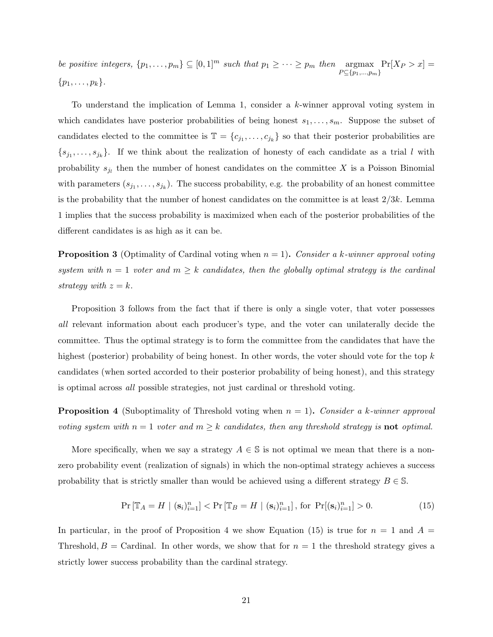be positive integers,  $\{p_1, \ldots, p_m\} \subseteq [0,1]^m$  such that  $p_1 \geq \cdots \geq p_m$  then argmax  $P \subseteq \{p_1,...,p_m\}$  $Pr[X_P > x] =$  $\{p_1, \ldots, p_k\}.$ 

To understand the implication of Lemma [1,](#page-19-2) consider a  $k$ -winner approval voting system in which candidates have posterior probabilities of being honest  $s_1, \ldots, s_m$ . Suppose the subset of candidates elected to the committee is  $\mathbb{T} = \{c_{j_1}, \ldots, c_{j_k}\}\$  so that their posterior probabilities are  $\{s_{j_1},\ldots,s_{j_k}\}\.$  If we think about the realization of honesty of each candidate as a trial l with probability  $s_{j_l}$  then the number of honest candidates on the committee X is a Poisson Binomial with parameters  $(s_{j_1},...,s_{j_k})$ . The success probability, e.g. the probability of an honest committee is the probability that the number of honest candidates on the committee is at least  $2/3k$ . Lemma [1](#page-19-2) implies that the success probability is maximized when each of the posterior probabilities of the different candidates is as high as it can be.

<span id="page-20-0"></span>**Proposition 3** (Optimality of Cardinal voting when  $n = 1$ ). Consider a k-winner approval voting system with  $n = 1$  voter and  $m \geq k$  candidates, then the globally optimal strategy is the cardinal strategy with  $z = k$ .

Proposition [3](#page-20-0) follows from the fact that if there is only a single voter, that voter possesses all relevant information about each producer's type, and the voter can unilaterally decide the committee. Thus the optimal strategy is to form the committee from the candidates that have the highest (posterior) probability of being honest. In other words, the voter should vote for the top k candidates (when sorted accorded to their posterior probability of being honest), and this strategy is optimal across all possible strategies, not just cardinal or threshold voting.

<span id="page-20-1"></span>**Proposition 4** (Suboptimality of Threshold voting when  $n = 1$ ). Consider a k-winner approval voting system with  $n = 1$  voter and  $m \geq k$  candidates, then any threshold strategy is **not** optimal.

More specifically, when we say a strategy  $A \in \mathbb{S}$  is not optimal we mean that there is a nonzero probability event (realization of signals) in which the non-optimal strategy achieves a success probability that is strictly smaller than would be achieved using a different strategy  $B \in \mathbb{S}$ .

<span id="page-20-2"></span>
$$
\Pr\left[\mathbb{T}_A = H \mid (\mathbf{s}_i)_{i=1}^n\right] < \Pr\left[\mathbb{T}_B = H \mid (\mathbf{s}_i)_{i=1}^n\right], \text{ for } \Pr[(\mathbf{s}_i)_{i=1}^n] > 0. \tag{15}
$$

In particular, in the proof of Proposition [4](#page-20-1) we show Equation [\(15\)](#page-20-2) is true for  $n = 1$  and  $A =$ Threshold,  $B =$  Cardinal. In other words, we show that for  $n = 1$  the threshold strategy gives a strictly lower success probability than the cardinal strategy.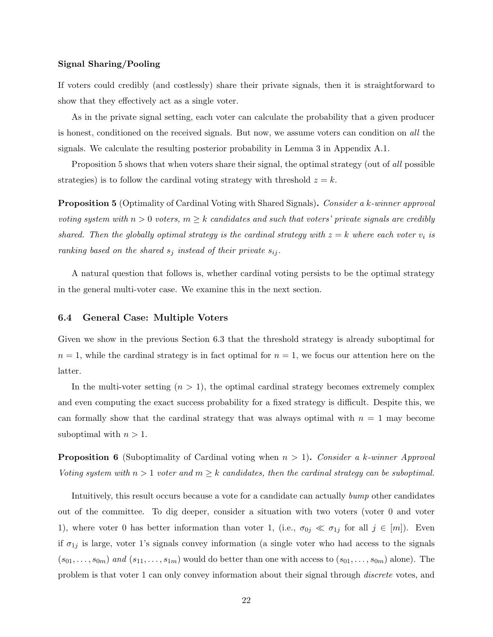#### Signal Sharing/Pooling

If voters could credibly (and costlessly) share their private signals, then it is straightforward to show that they effectively act as a single voter.

As in the private signal setting, each voter can calculate the probability that a given producer is honest, conditioned on the received signals. But now, we assume voters can condition on all the signals. We calculate the resulting posterior probability in Lemma [3](#page-34-0) in Appendix [A.1.](#page-30-1)

Proposition [5](#page-21-2) shows that when voters share their signal, the optimal strategy (out of all possible strategies) is to follow the cardinal voting strategy with threshold  $z = k$ .

<span id="page-21-2"></span>**Proposition 5** (Optimality of Cardinal Voting with Shared Signals). Consider a k-winner approval voting system with  $n > 0$  voters,  $m \geq k$  candidates and such that voters' private signals are credibly shared. Then the globally optimal strategy is the cardinal strategy with  $z = k$  where each voter  $v_i$  is ranking based on the shared  $s_j$  instead of their private  $s_{ij}$ .

A natural question that follows is, whether cardinal voting persists to be the optimal strategy in the general multi-voter case. We examine this in the next section.

#### <span id="page-21-1"></span>6.4 General Case: Multiple Voters

Given we show in the previous Section [6.3](#page-19-0) that the threshold strategy is already suboptimal for  $n = 1$ , while the cardinal strategy is in fact optimal for  $n = 1$ , we focus our attention here on the latter.

In the multi-voter setting  $(n > 1)$ , the optimal cardinal strategy becomes extremely complex and even computing the exact success probability for a fixed strategy is difficult. Despite this, we can formally show that the cardinal strategy that was always optimal with  $n = 1$  may become suboptimal with  $n > 1$ .

<span id="page-21-0"></span>**Proposition 6** (Suboptimality of Cardinal voting when  $n > 1$ ). Consider a k-winner Approval Voting system with  $n > 1$  voter and  $m \geq k$  candidates, then the cardinal strategy can be suboptimal.

Intuitively, this result occurs because a vote for a candidate can actually bump other candidates out of the committee. To dig deeper, consider a situation with two voters (voter 0 and voter 1), where voter 0 has better information than voter 1, (i.e.,  $\sigma_{0j} \ll \sigma_{1j}$  for all  $j \in [m]$ ). Even if  $\sigma_{1j}$  is large, voter 1's signals convey information (a single voter who had access to the signals  $(s_{01},\ldots,s_{0m})$  and  $(s_{11},\ldots,s_{1m})$  would do better than one with access to  $(s_{01},\ldots,s_{0m})$  alone). The problem is that voter 1 can only convey information about their signal through discrete votes, and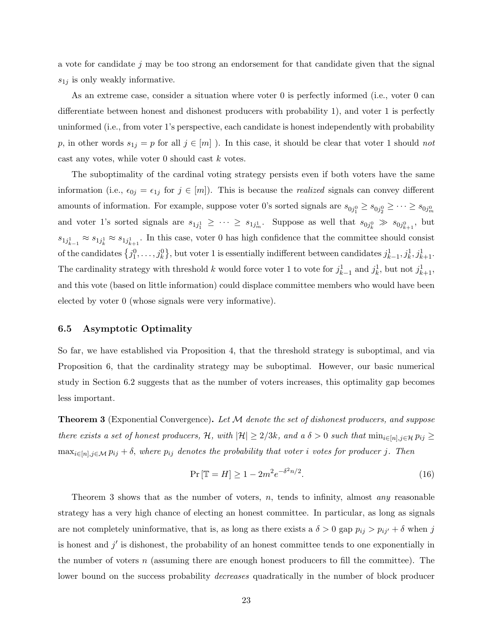a vote for candidate j may be too strong an endorsement for that candidate given that the signal  $s_{1j}$  is only weakly informative.

As an extreme case, consider a situation where voter 0 is perfectly informed (i.e., voter 0 can differentiate between honest and dishonest producers with probability 1), and voter 1 is perfectly uninformed (i.e., from voter 1's perspective, each candidate is honest independently with probability p, in other words  $s_{1j} = p$  for all  $j \in [m]$ ). In this case, it should be clear that voter 1 should not cast any votes, while voter  $0$  should cast  $k$  votes.

The suboptimality of the cardinal voting strategy persists even if both voters have the same information (i.e.,  $\epsilon_{0j} = \epsilon_{1j}$  for  $j \in [m]$ ). This is because the *realized* signals can convey different amounts of information. For example, suppose voter 0's sorted signals are  $s_{0j_1^0} \ge s_{0j_2^0} \ge \cdots \ge s_{0j_m^0}$ and voter 1's sorted signals are  $s_{1j_1^1} \geq \cdots \geq s_{1j_m^1}$ . Suppose as well that  $s_{0j_k^0} \gg s_{0j_{k+1}^0}$ , but  $s_{1j_{k-1}^1} \approx s_{1j_k^1} \approx s_{1j_{k+1}^1}$ . In this case, voter 0 has high confidence that the committee should consist of the candidates  $\{j_1^0, \ldots, j_k^0\}$ , but voter 1 is essentially indifferent between candidates  $j_{k-1}^1, j_k^1, j_{k+1}^1$ . The cardinality strategy with threshold k would force voter 1 to vote for  $j_{k-1}^1$  and  $j_k^1$ , but not  $j_{k+1}^1$ , and this vote (based on little information) could displace committee members who would have been elected by voter 0 (whose signals were very informative).

#### <span id="page-22-1"></span>6.5 Asymptotic Optimality

So far, we have established via Proposition [4,](#page-20-1) that the threshold strategy is suboptimal, and via Proposition [6,](#page-21-0) that the cardinality strategy may be suboptimal. However, our basic numerical study in Section [6.2](#page-17-1) suggests that as the number of voters increases, this optimality gap becomes less important.

<span id="page-22-0"></span>**Theorem 3** (Exponential Convergence). Let  $M$  denote the set of dishonest producers, and suppose there exists a set of honest producers, H, with  $|\mathcal{H}| \geq 2/3k$ , and a  $\delta > 0$  such that  $\min_{i \in [n], j \in \mathcal{H}} p_{ij} \geq$  $\max_{i\in[n],j\in\mathcal{M}} p_{ij} + \delta$ , where  $p_{ij}$  denotes the probability that voter i votes for producer j. Then

$$
\Pr\left[\mathbb{T} = H\right] \ge 1 - 2m^2 e^{-\delta^2 n/2}.\tag{16}
$$

Theorem [3](#page-22-0) shows that as the number of voters,  $n$ , tends to infinity, almost any reasonable strategy has a very high chance of electing an honest committee. In particular, as long as signals are not completely uninformative, that is, as long as there exists a  $\delta > 0$  gap  $p_{ij} > p_{ij'} + \delta$  when j is honest and  $j'$  is dishonest, the probability of an honest committee tends to one exponentially in the number of voters  $n$  (assuming there are enough honest producers to fill the committee). The lower bound on the success probability *decreases* quadratically in the number of block producer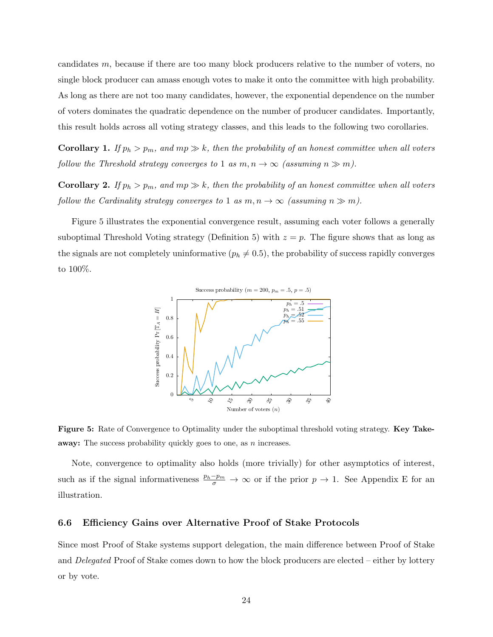candidates m, because if there are too many block producers relative to the number of voters, no single block producer can amass enough votes to make it onto the committee with high probability. As long as there are not too many candidates, however, the exponential dependence on the number of voters dominates the quadratic dependence on the number of producer candidates. Importantly, this result holds across all voting strategy classes, and this leads to the following two corollaries.

**Corollary 1.** If  $p_h > p_m$ , and  $mp \gg k$ , then the probability of an honest committee when all voters follow the Threshold strategy converges to 1 as  $m, n \to \infty$  (assuming  $n \gg m$ ).

**Corollary 2.** If  $p_h > p_m$ , and  $mp \gg k$ , then the probability of an honest committee when all voters follow the Cardinality strategy converges to 1 as  $m, n \to \infty$  (assuming  $n \gg m$ ).

<span id="page-23-1"></span>Figure [5](#page-23-1) illustrates the exponential convergence result, assuming each voter follows a generally suboptimal Threshold Voting strategy (Definition [5\)](#page-14-0) with  $z = p$ . The figure shows that as long as the signals are not completely uninformative  $(p_h \neq 0.5)$ , the probability of success rapidly converges to 100%.



Figure 5: Rate of Convergence to Optimality under the suboptimal threshold voting strategy. Key Takeaway: The success probability quickly goes to one, as n increases.

Note, convergence to optimality also holds (more trivially) for other asymptotics of interest, such as if the signal informativeness  $\frac{p_h-p_m}{\sigma} \to \infty$  or if the prior  $p \to 1$ . See Appendix [E](#page-47-0) for an illustration.

#### <span id="page-23-0"></span>6.6 Efficiency Gains over Alternative Proof of Stake Protocols

Since most Proof of Stake systems support delegation, the main difference between Proof of Stake and Delegated Proof of Stake comes down to how the block producers are elected – either by lottery or by vote.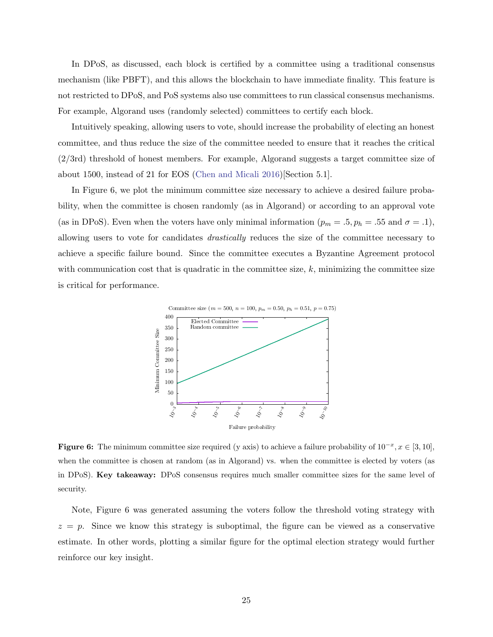In DPoS, as discussed, each block is certified by a committee using a traditional consensus mechanism (like PBFT), and this allows the blockchain to have immediate finality. This feature is not restricted to DPoS, and PoS systems also use committees to run classical consensus mechanisms. For example, Algorand uses (randomly selected) committees to certify each block.

Intuitively speaking, allowing users to vote, should increase the probability of electing an honest committee, and thus reduce the size of the committee needed to ensure that it reaches the critical (2/3rd) threshold of honest members. For example, Algorand suggests a target committee size of about 1500, instead of 21 for EOS [\(Chen and Micali](#page-26-12) [2016\)](#page-26-12)[Section 5.1].

In Figure [6,](#page-24-0) we plot the minimum committee size necessary to achieve a desired failure probability, when the committee is chosen randomly (as in Algorand) or according to an approval vote (as in DPoS). Even when the voters have only minimal information ( $p_m = .5, p_h = .55$  and  $\sigma = .1$ ), allowing users to vote for candidates drastically reduces the size of the committee necessary to achieve a specific failure bound. Since the committee executes a Byzantine Agreement protocol with communication cost that is quadratic in the committee size,  $k$ , minimizing the committee size is critical for performance.

<span id="page-24-0"></span>

**Figure 6:** The minimum committee size required (y axis) to achieve a failure probability of  $10^{-x}$ ,  $x \in [3, 10]$ , when the committee is chosen at random (as in Algorand) vs. when the committee is elected by voters (as in DPoS). Key takeaway: DPoS consensus requires much smaller committee sizes for the same level of security.

Note, Figure [6](#page-24-0) was generated assuming the voters follow the threshold voting strategy with  $z = p$ . Since we know this strategy is suboptimal, the figure can be viewed as a conservative estimate. In other words, plotting a similar figure for the optimal election strategy would further reinforce our key insight.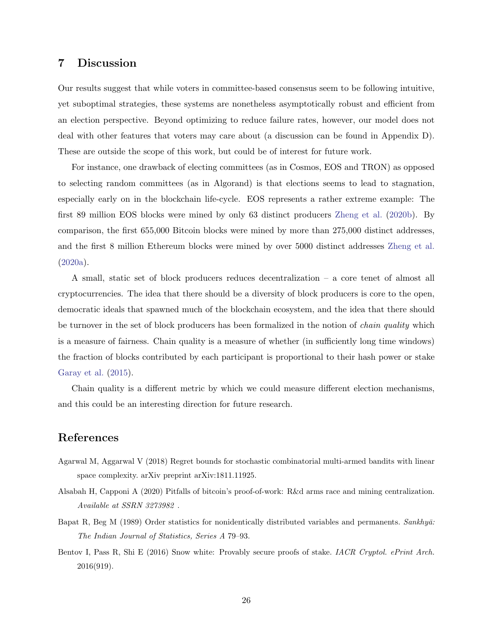# <span id="page-25-0"></span>7 Discussion

Our results suggest that while voters in committee-based consensus seem to be following intuitive, yet suboptimal strategies, these systems are nonetheless asymptotically robust and efficient from an election perspective. Beyond optimizing to reduce failure rates, however, our model does not deal with other features that voters may care about (a discussion can be found in Appendix [D\)](#page-46-0). These are outside the scope of this work, but could be of interest for future work.

For instance, one drawback of electing committees (as in Cosmos, EOS and TRON) as opposed to selecting random committees (as in Algorand) is that elections seems to lead to stagnation, especially early on in the blockchain life-cycle. EOS represents a rather extreme example: The first 89 million EOS blocks were mined by only 63 distinct producers [Zheng et al.](#page-29-9) [\(2020b\)](#page-29-9). By comparison, the first 655,000 Bitcoin blocks were mined by more than 275,000 distinct addresses, and the first 8 million Ethereum blocks were mined by over 5000 distinct addresses [Zheng et al.](#page-29-10) [\(2020a\)](#page-29-10).

A small, static set of block producers reduces decentralization – a core tenet of almost all cryptocurrencies. The idea that there should be a diversity of block producers is core to the open, democratic ideals that spawned much of the blockchain ecosystem, and the idea that there should be turnover in the set of block producers has been formalized in the notion of *chain quality* which is a measure of fairness. Chain quality is a measure of whether (in sufficiently long time windows) the fraction of blocks contributed by each participant is proportional to their hash power or stake [Garay et al.](#page-27-13) [\(2015\)](#page-27-13).

Chain quality is a different metric by which we could measure different election mechanisms, and this could be an interesting direction for future research.

# References

- <span id="page-25-4"></span>Agarwal M, Aggarwal V (2018) Regret bounds for stochastic combinatorial multi-armed bandits with linear space complexity. arXiv preprint arXiv:1811.11925.
- <span id="page-25-2"></span>Alsabah H, Capponi A (2020) Pitfalls of bitcoin's proof-of-work: R&d arms race and mining centralization. Available at SSRN 3273982 .
- <span id="page-25-3"></span>Bapat R, Beg M (1989) Order statistics for nonidentically distributed variables and permanents. Sankhyā: The Indian Journal of Statistics, Series A 79–93.
- <span id="page-25-1"></span>Bentov I, Pass R, Shi E (2016) Snow white: Provably secure proofs of stake. IACR Cryptol. ePrint Arch. 2016(919).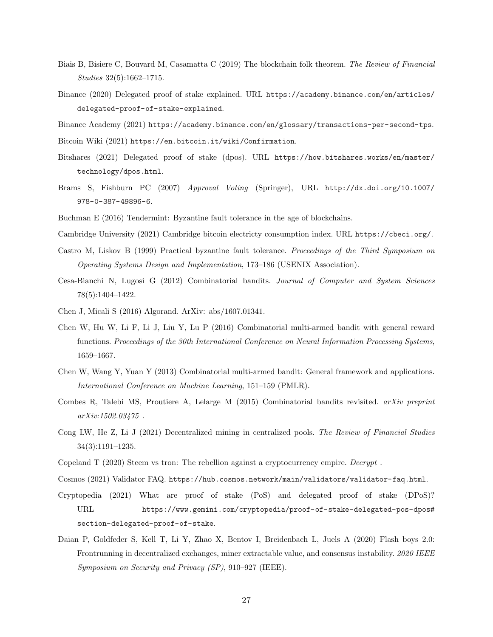- <span id="page-26-13"></span>Biais B, Bisiere C, Bouvard M, Casamatta C (2019) The blockchain folk theorem. The Review of Financial Studies 32(5):1662–1715.
- <span id="page-26-9"></span>Binance (2020) Delegated proof of stake explained. URL [https://academy.binance.com/en/articles/](https://academy.binance.com/en/articles/delegated-proof-of-stake-explained) [delegated-proof-of-stake-explained](https://academy.binance.com/en/articles/delegated-proof-of-stake-explained).
- <span id="page-26-5"></span>Binance Academy (2021) <https://academy.binance.com/en/glossary/transactions-per-second-tps>.
- <span id="page-26-7"></span>Bitcoin Wiki (2021) <https://en.bitcoin.it/wiki/Confirmation>.
- <span id="page-26-11"></span>Bitshares (2021) Delegated proof of stake (dpos). URL [https://how.bitshares.works/en/master/](https://how.bitshares.works/en/master/technology/dpos.html) [technology/dpos.html](https://how.bitshares.works/en/master/technology/dpos.html).
- <span id="page-26-1"></span>Brams S, Fishburn PC (2007) Approval Voting (Springer), URL [http://dx.doi.org/10.1007/](http://dx.doi.org/10.1007/978-0-387-49896-6) [978-0-387-49896-6](http://dx.doi.org/10.1007/978-0-387-49896-6).
- <span id="page-26-6"></span><span id="page-26-4"></span>Buchman E (2016) Tendermint: Byzantine fault tolerance in the age of blockchains.
- Cambridge University (2021) Cambridge bitcoin electricty consumption index. URL <https://cbeci.org/>.
- <span id="page-26-2"></span>Castro M, Liskov B (1999) Practical byzantine fault tolerance. Proceedings of the Third Symposium on Operating Systems Design and Implementation, 173–186 (USENIX Association).
- <span id="page-26-15"></span>Cesa-Bianchi N, Lugosi G (2012) Combinatorial bandits. Journal of Computer and System Sciences 78(5):1404–1422.
- <span id="page-26-12"></span>Chen J, Micali S (2016) Algorand. ArXiv: abs/1607.01341.
- <span id="page-26-18"></span>Chen W, Hu W, Li F, Li J, Liu Y, Lu P (2016) Combinatorial multi-armed bandit with general reward functions. Proceedings of the 30th International Conference on Neural Information Processing Systems, 1659–1667.
- <span id="page-26-16"></span>Chen W, Wang Y, Yuan Y (2013) Combinatorial multi-armed bandit: General framework and applications. International Conference on Machine Learning, 151–159 (PMLR).
- <span id="page-26-17"></span>Combes R, Talebi MS, Proutiere A, Lelarge M (2015) Combinatorial bandits revisited. arXiv preprint arXiv:1502.03475 .
- <span id="page-26-14"></span>Cong LW, He Z, Li J (2021) Decentralized mining in centralized pools. The Review of Financial Studies 34(3):1191–1235.
- <span id="page-26-8"></span><span id="page-26-0"></span>Copeland T (2020) Steem vs tron: The rebellion against a cryptocurrency empire. Decrypt .
- Cosmos (2021) Validator FAQ. <https://hub.cosmos.network/main/validators/validator-faq.html>.
- <span id="page-26-10"></span>Cryptopedia (2021) What are proof of stake (PoS) and delegated proof of stake (DPoS)? URL [https://www.gemini.com/cryptopedia/proof-of-stake-delegated-pos-dpos#](https://www.gemini.com/cryptopedia/proof-of-stake-delegated-pos-dpos#section-delegated-proof-of-stake) [section-delegated-proof-of-stake](https://www.gemini.com/cryptopedia/proof-of-stake-delegated-pos-dpos#section-delegated-proof-of-stake).
- <span id="page-26-3"></span>Daian P, Goldfeder S, Kell T, Li Y, Zhao X, Bentov I, Breidenbach L, Juels A (2020) Flash boys 2.0: Frontrunning in decentralized exchanges, miner extractable value, and consensus instability. 2020 IEEE Symposium on Security and Privacy (SP), 910–927 (IEEE).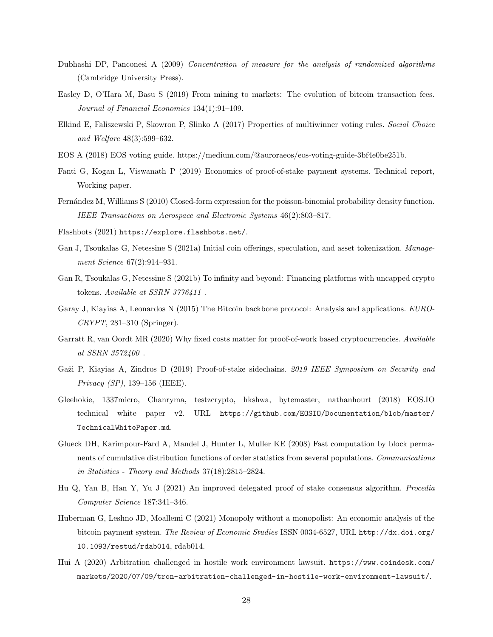- <span id="page-27-15"></span>Dubhashi DP, Panconesi A (2009) Concentration of measure for the analysis of randomized algorithms (Cambridge University Press).
- <span id="page-27-8"></span>Easley D, O'Hara M, Basu S (2019) From mining to markets: The evolution of bitcoin transaction fees. Journal of Financial Economics 134(1):91–109.
- <span id="page-27-4"></span>Elkind E, Faliszewski P, Skowron P, Slinko A (2017) Properties of multiwinner voting rules. Social Choice and Welfare 48(3):599–632.
- <span id="page-27-12"></span>EOS A (2018) EOS voting guide. https://medium.com/@auroraeos/eos-voting-guide-3bf4e0be251b.
- <span id="page-27-5"></span>Fanti G, Kogan L, Viswanath P (2019) Economics of proof-of-stake payment systems. Technical report, Working paper.
- <span id="page-27-14"></span>Fernández M, Williams S (2010) Closed-form expression for the poisson-binomial probability density function. IEEE Transactions on Aerospace and Electronic Systems 46(2):803–817.
- <span id="page-27-10"></span><span id="page-27-1"></span>Flashbots (2021) <https://explore.flashbots.net/>.
- Gan J, Tsoukalas G, Netessine S (2021a) Initial coin offerings, speculation, and asset tokenization. Management Science 67(2):914-931.
- <span id="page-27-11"></span>Gan R, Tsoukalas G, Netessine S (2021b) To infinity and beyond: Financing platforms with uncapped crypto tokens. Available at SSRN 3776411.
- <span id="page-27-13"></span>Garay J, Kiayias A, Leonardos N (2015) The Bitcoin backbone protocol: Analysis and applications. EURO-CRYPT, 281–310 (Springer).
- <span id="page-27-7"></span>Garratt R, van Oordt MR (2020) Why fixed costs matter for proof-of-work based cryptocurrencies. Available at SSRN 3572400 .
- <span id="page-27-6"></span>Gaži P, Kiayias A, Zindros D (2019) Proof-of-stake sidechains. 2019 IEEE Symposium on Security and Privacy (SP), 139–156 (IEEE).
- <span id="page-27-2"></span>Gleehokie, 1337micro, Chanryma, testzcrypto, hkshwa, bytemaster, nathanhourt (2018) EOS.IO technical white paper v2. URL [https://github.com/EOSIO/Documentation/blob/master/](https://github.com/EOSIO/Documentation/blob/master/TechnicalWhitePaper.md) [TechnicalWhitePaper.md](https://github.com/EOSIO/Documentation/blob/master/TechnicalWhitePaper.md).
- <span id="page-27-16"></span>Glueck DH, Karimpour-Fard A, Mandel J, Hunter L, Muller KE (2008) Fast computation by block permanents of cumulative distribution functions of order statistics from several populations. Communications in Statistics - Theory and Methods 37(18):2815–2824.
- <span id="page-27-3"></span>Hu Q, Yan B, Han Y, Yu J (2021) An improved delegated proof of stake consensus algorithm. Procedia Computer Science 187:341–346.
- <span id="page-27-9"></span>Huberman G, Leshno JD, Moallemi C (2021) Monopoly without a monopolist: An economic analysis of the bitcoin payment system. The Review of Economic Studies ISSN 0034-6527, URL [http://dx.doi.org/](http://dx.doi.org/10.1093/restud/rdab014) [10.1093/restud/rdab014](http://dx.doi.org/10.1093/restud/rdab014), rdab014.
- <span id="page-27-0"></span>Hui A (2020) Arbitration challenged in hostile work environment lawsuit. [https://www.coindesk.com/](https://www.coindesk.com/markets/2020/07/09/tron-arbitration-challenged-in-hostile-work-environment-lawsuit/) [markets/2020/07/09/tron-arbitration-challenged-in-hostile-work-environment-lawsuit/](https://www.coindesk.com/markets/2020/07/09/tron-arbitration-challenged-in-hostile-work-environment-lawsuit/).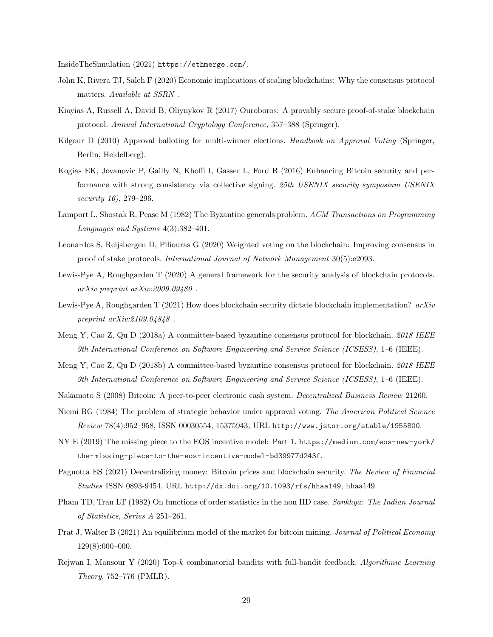<span id="page-28-3"></span>InsideTheSimulation (2021) [https://ethmerge.com/]( https://ethmerge.com/ ).

- <span id="page-28-1"></span>John K, Rivera TJ, Saleh F (2020) Economic implications of scaling blockchains: Why the consensus protocol matters. Available at SSRN.
- <span id="page-28-9"></span>Kiayias A, Russell A, David B, Oliynykov R (2017) Ouroboros: A provably secure proof-of-stake blockchain protocol. Annual International Cryptology Conference, 357–388 (Springer).
- <span id="page-28-14"></span>Kilgour D (2010) Approval balloting for multi-winner elections. Handbook on Approval Voting (Springer, Berlin, Heidelberg).
- <span id="page-28-4"></span>Kogias EK, Jovanovic P, Gailly N, Khoffi I, Gasser L, Ford B (2016) Enhancing Bitcoin security and performance with strong consistency via collective signing. 25th USENIX security symposium USENIX security 16), 279–296.
- <span id="page-28-2"></span>Lamport L, Shostak R, Pease M (1982) The Byzantine generals problem. ACM Transactions on Programming Languages and Systems 4(3):382–401.
- <span id="page-28-8"></span>Leonardos S, Reijsbergen D, Piliouras G (2020) Weighted voting on the blockchain: Improving consensus in proof of stake protocols. International Journal of Network Management 30(5):e2093.
- <span id="page-28-12"></span>Lewis-Pye A, Roughgarden T (2020) A general framework for the security analysis of blockchain protocols. arXiv preprint arXiv:2009.09480 .
- <span id="page-28-13"></span>Lewis-Pye A, Roughgarden T (2021) How does blockchain security dictate blockchain implementation?  $arXiv$ preprint arXiv:2109.04848 .
- <span id="page-28-5"></span>Meng Y, Cao Z, Qu D (2018a) A committee-based byzantine consensus protocol for blockchain. 2018 IEEE 9th International Conference on Software Engineering and Service Science (ICSESS), 1–6 (IEEE).
- <span id="page-28-6"></span>Meng Y, Cao Z, Qu D (2018b) A committee-based byzantine consensus protocol for blockchain. 2018 IEEE 9th International Conference on Software Engineering and Service Science (ICSESS), 1–6 (IEEE).
- <span id="page-28-0"></span>Nakamoto S (2008) Bitcoin: A peer-to-peer electronic cash system. Decentralized Business Review 21260.
- <span id="page-28-7"></span>Niemi RG (1984) The problem of strategic behavior under approval voting. The American Political Science Review 78(4):952–958, ISSN 00030554, 15375943, URL <http://www.jstor.org/stable/1955800>.
- <span id="page-28-15"></span>NY E (2019) The missing piece to the EOS incentive model: Part 1. [https://medium.com/eos-new-york/]( https://medium.com/eos-new-york/the-missing-piece-to-the-eos-incentive-model-bd39977d243f) [the-missing-piece-to-the-eos-incentive-model-bd39977d243f]( https://medium.com/eos-new-york/the-missing-piece-to-the-eos-incentive-model-bd39977d243f).
- <span id="page-28-10"></span>Pagnotta ES (2021) Decentralizing money: Bitcoin prices and blockchain security. The Review of Financial Studies ISSN 0893-9454, URL <http://dx.doi.org/10.1093/rfs/hhaa149>, hhaa149.
- <span id="page-28-16"></span>Pham TD, Tran LT (1982) On functions of order statistics in the non IID case. Sankhyā: The Indian Journal of Statistics, Series A 251–261.
- <span id="page-28-11"></span>Prat J, Walter B (2021) An equilibrium model of the market for bitcoin mining. Journal of Political Economy 129(8):000–000.
- <span id="page-28-17"></span>Rejwan I, Mansour Y (2020) Top-k combinatorial bandits with full-bandit feedback. Algorithmic Learning Theory, 752–776 (PMLR).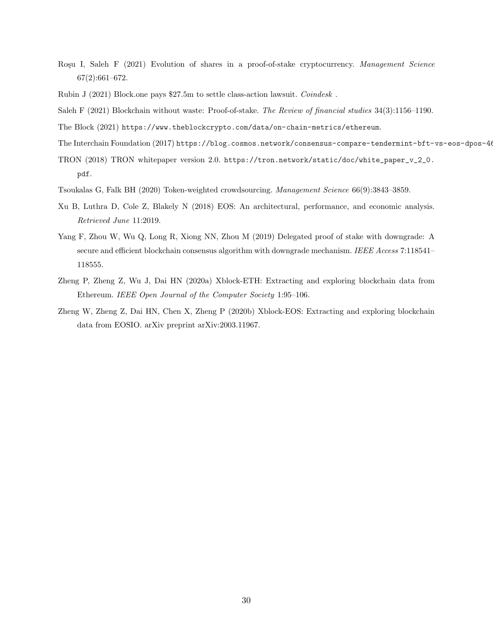- <span id="page-29-7"></span>Roşu I, Saleh F (2021) Evolution of shares in a proof-of-stake cryptocurrency. Management Science 67(2):661–672.
- <span id="page-29-2"></span>Rubin J (2021) Block.one pays \$27.5m to settle class-action lawsuit. *Coindesk*.
- <span id="page-29-3"></span>Saleh F (2021) Blockchain without waste: Proof-of-stake. The Review of financial studies 34(3):1156–1190.
- <span id="page-29-4"></span><span id="page-29-0"></span>The Block (2021) <https://www.theblockcrypto.com/data/on-chain-metrics/ethereum>.
- The Interchain Foundation (2017) https://blog.cosmos.network/consensus-compare-tendermint-bft-vs-eos-dpos-46c5
- <span id="page-29-5"></span>TRON (2018) TRON whitepaper version 2.0. [https://tron.network/static/doc/white\\_paper\\_v\\_2\\_0.]( https://tron.network/static/doc/white_paper_v_2_0.pdf ) [pdf]( https://tron.network/static/doc/white_paper_v_2_0.pdf ).
- <span id="page-29-8"></span>Tsoukalas G, Falk BH (2020) Token-weighted crowdsourcing. Management Science 66(9):3843–3859.
- <span id="page-29-1"></span>Xu B, Luthra D, Cole Z, Blakely N (2018) EOS: An architectural, performance, and economic analysis. Retrieved June 11:2019.
- <span id="page-29-6"></span>Yang F, Zhou W, Wu Q, Long R, Xiong NN, Zhou M (2019) Delegated proof of stake with downgrade: A secure and efficient blockchain consensus algorithm with downgrade mechanism. IEEE Access 7:118541-118555.
- <span id="page-29-10"></span>Zheng P, Zheng Z, Wu J, Dai HN (2020a) Xblock-ETH: Extracting and exploring blockchain data from Ethereum. IEEE Open Journal of the Computer Society 1:95–106.
- <span id="page-29-9"></span>Zheng W, Zheng Z, Dai HN, Chen X, Zheng P (2020b) Xblock-EOS: Extracting and exploring blockchain data from EOSIO. arXiv preprint arXiv:2003.11967.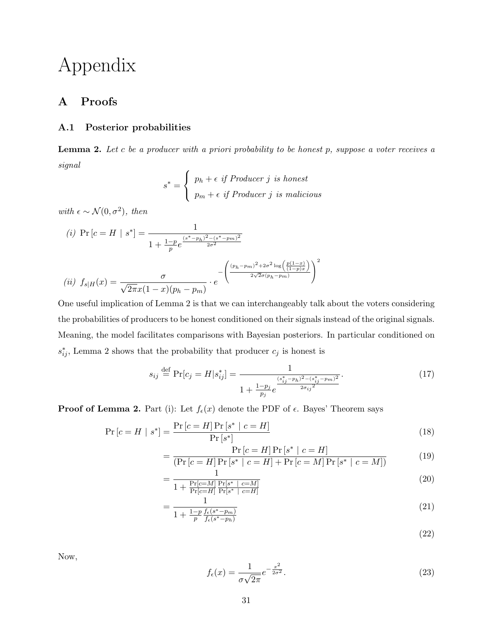# Appendix

# A Proofs

## <span id="page-30-1"></span>A.1 Posterior probabilities

<span id="page-30-0"></span>**Lemma 2.** Let c be a producer with a priori probability to be honest  $p$ , suppose a voter receives a signal

$$
s^* = \begin{cases} p_h + \epsilon \text{ if } Product \text{ } j \text{ is honest} \\ p_m + \epsilon \text{ if } Product \text{ } j \text{ is malicious} \end{cases}
$$

with  $\epsilon \sim \mathcal{N}(0, \sigma^2)$ , then

(i) 
$$
\Pr[c = H \mid s^*] = \frac{1}{1 + \frac{1-p}{p}e^{\frac{(s^* - p_h)^2 - (s^* - p_m)^2}{2\sigma^2}}}
$$
  
\n(ii)  $f_{s|H}(x) = \frac{\sigma}{\sqrt{2\pi}x(1-x)(p_h - p_m)} \cdot e^{-\left(\frac{(p_h - p_m)^2 + 2\sigma^2 \log\left(\frac{p(1-x)}{(1-p)x}\right)}{2\sqrt{2\sigma}(p_h - p_m)}\right)^2}$ 

One useful implication of Lemma [2](#page-30-0) is that we can interchangeably talk about the voters considering the probabilities of producers to be honest conditioned on their signals instead of the original signals. Meaning, the model facilitates comparisons with Bayesian posteriors. In particular conditioned on  $s_{ij}^*$ , Lemma [2](#page-30-0) shows that the probability that producer  $c_j$  is honest is

$$
s_{ij} \stackrel{\text{def}}{=} \Pr[c_j = H | s_{ij}^*] = \frac{1}{1 + \frac{1 - p_j}{p_j} e^{\frac{(s_{ij}^* - p_h)^2 - (s_{ij}^* - p_m)^2}{2\sigma_{ij}^2}}}.
$$
(17)

**Proof of Lemma [2.](#page-30-0)** Part (i): Let  $f_{\epsilon}(x)$  denote the PDF of  $\epsilon$ . Bayes' Theorem says

$$
\Pr\left[c = H \mid s^*\right] = \frac{\Pr\left[c = H\right] \Pr\left[s^* \mid c = H\right]}{\Pr\left[s^*\right]}
$$
\n(18)

$$
= \frac{\Pr\left[c = H\right] \Pr\left[s^* \mid c = H\right]}{\left(\Pr\left[c = H\right] \Pr\left[s^* \mid c = H\right] + \Pr\left[c = M\right] \Pr\left[s^* \mid c = M\right]\right)}
$$
(19)

$$
= \frac{1}{1 + \frac{\Pr[c=M]}{\Pr[c=H]} \frac{\Pr[s^* \mid c=M]}{\Pr[s^* \mid c=H]}} \tag{20}
$$

$$
=\frac{1}{1+\frac{1-p}{p}\frac{f_{\epsilon}(s^{*}-p_{m})}{f_{\epsilon}(s^{*}-p_{h})}}\tag{21}
$$

(22)

Now,

$$
f_{\epsilon}(x) = \frac{1}{\sigma\sqrt{2\pi}}e^{-\frac{x^2}{2\sigma^2}}.
$$
\n(23)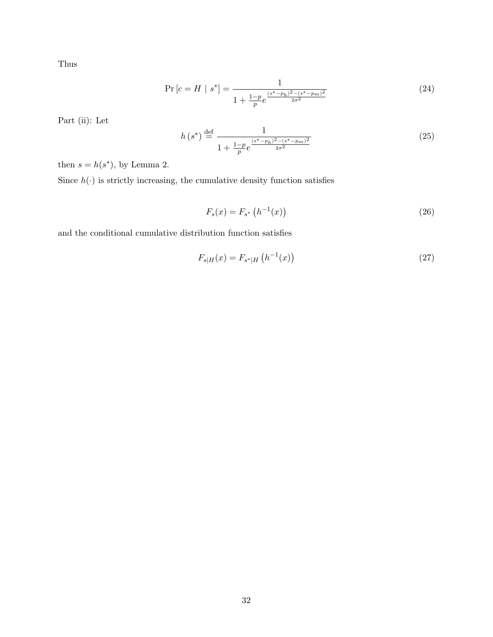Thus

$$
\Pr\left[c = H \mid s^*\right] = \frac{1}{1 + \frac{1 - p}{p} e^{\frac{(s^* - p_h)^2 - (s^* - p_m)^2}{2\sigma^2}}}
$$
(24)

Part (ii): Let

$$
h(s^*) \stackrel{\text{def}}{=} \frac{1}{1 + \frac{1 - p}{p} e^{\frac{(s^* - p_h)^2 - (s^* - p_m)^2}{2\sigma^2}}}
$$
(25)

then  $s = h(s^*)$ , by Lemma [2.](#page-30-0)

Since  $h(\cdot)$  is strictly increasing, the cumulative density function satisfies

$$
F_s(x) = F_{s^*} \left( h^{-1}(x) \right) \tag{26}
$$

and the conditional cumulative distribution function satisfies

$$
F_{s|H}(x) = F_{s^*|H}\left(h^{-1}(x)\right) \tag{27}
$$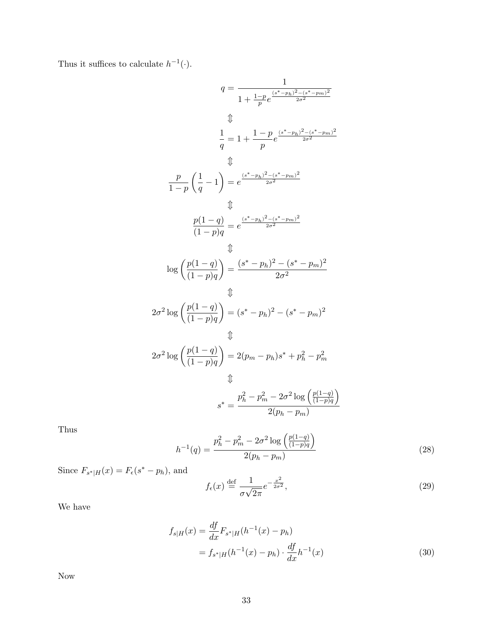Thus it suffices to calculate  $h^{-1}(\cdot)$ .

$$
q = \frac{1}{1 + \frac{1-p}{p}e^{\frac{(s^* - p_h)^2 - (s^* - p_m)^2}{2\sigma^2}}}
$$
  
\n
$$
\Downarrow
$$
  
\n
$$
\frac{1}{q} = 1 + \frac{1-p}{p}e^{\frac{(s^* - p_h)^2 - (s^* - p_m)^2}{2\sigma^2}}
$$
  
\n
$$
\Downarrow
$$
  
\n
$$
\frac{p}{1-p} \left(\frac{1}{q} - 1\right) = e^{\frac{(s^* - p_h)^2 - (s^* - p_m)^2}{2\sigma^2}}
$$
  
\n
$$
\Downarrow
$$
  
\n
$$
\frac{p(1-q)}{(1-p)q} = e^{\frac{(s^* - p_h)^2 - (s^* - p_m)^2}{2\sigma^2}}
$$
  
\n
$$
\frac{1}{\left(\frac{p(1-q)}{(1-p)q}\right)} = \frac{(s^* - p_h)^2 - (s^* - p_m)^2}{2\sigma^2}
$$
  
\n
$$
\downarrow
$$
  
\n
$$
2\sigma^2 \log \left(\frac{p(1-q)}{(1-p)q}\right) = (s^* - p_h)^2 - (s^* - p_m)^2
$$
  
\n
$$
\downarrow
$$
  
\n
$$
2\sigma^2 \log \left(\frac{p(1-q)}{(1-p)q}\right) = 2(p_m - p_h)s^* + p_h^2 - p_m^2
$$
  
\n
$$
\downarrow
$$
  
\n
$$
s^* = \frac{p_h^2 - p_m^2 - 2\sigma^2 \log \left(\frac{p(1-q)}{(1-p)q}\right)}{2(p_h - p_m)}
$$

Thus

<span id="page-32-1"></span>
$$
h^{-1}(q) = \frac{p_h^2 - p_m^2 - 2\sigma^2 \log\left(\frac{p(1-q)}{(1-p)q}\right)}{2(p_h - p_m)}
$$
(28)

Since  $F_{s^*|H}(x) = F_{\epsilon}(s^* - p_h)$ , and

<span id="page-32-0"></span>
$$
f_{\epsilon}(x) \stackrel{\text{def}}{=} \frac{1}{\sigma\sqrt{2\pi}}e^{-\frac{x^2}{2\sigma^2}},\tag{29}
$$

We have

$$
f_{s|H}(x) = \frac{df}{dx} F_{s^*|H}(h^{-1}(x) - p_h)
$$
  
=  $f_{s^*|H}(h^{-1}(x) - p_h) \cdot \frac{df}{dx}h^{-1}(x)$  (30)

Now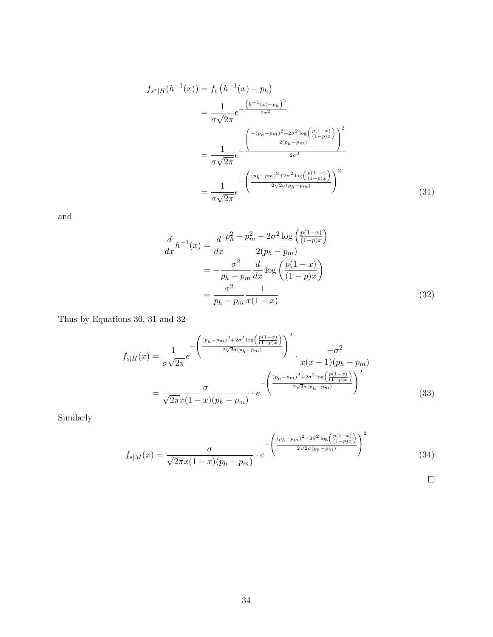$$
f_{s^*|H}(h^{-1}(x)) = f_{\epsilon} (h^{-1}(x) - p_h)
$$
  
= 
$$
\frac{1}{\sigma \sqrt{2\pi}} e^{-\frac{(h^{-1}(x) - p_h)^2}{2\sigma^2}}
$$
  
= 
$$
\frac{1}{\sigma \sqrt{2\pi}} e^{-\frac{\left(\frac{-(p_h - p_m)^2 - 2\sigma^2 \log\left(\frac{p(1-x)}{(1-p)x}\right)}{2(p_h - p_m)}\right)^2}{2\sigma^2}}
$$
  
= 
$$
\frac{1}{\sigma \sqrt{2\pi}} e^{-\frac{\left(\frac{(p_h - p_m)^2 + 2\sigma^2 \log\left(\frac{p(1-x)}{(1-p)x}\right)}{2\sqrt{2}\sigma(p_h - p_m)}\right)^2}{2\sqrt{2}\sigma(p_h - p_m)}}
$$
(31)

and

<span id="page-33-0"></span>
$$
\frac{d}{dx}h^{-1}(x) = \frac{d}{dx}\frac{p_h^2 - p_m^2 - 2\sigma^2 \log\left(\frac{p(1-x)}{(1-p)x}\right)}{2(p_h - p_m)}
$$
\n
$$
= -\frac{\sigma^2}{p_h - p_m}\frac{d}{dx}\log\left(\frac{p(1-x)}{(1-p)x}\right)
$$
\n
$$
= \frac{\sigma^2}{p_h - p_m}\frac{1}{x(1-x)}
$$
\n(32)

Thus by Equations [30,](#page-32-0) [31](#page-33-0) and [32](#page-33-1)

$$
f_{s|H}(x) = \frac{1}{\sigma\sqrt{2\pi}}e^{-\left(\frac{(p_h - p_m)^2 + 2\sigma^2 \log\left(\frac{p(1-x)}{(1-p)x}\right)}{2\sqrt{2}\sigma(p_h - p_m)}\right)^2} \cdot \frac{-\sigma^2}{x(x-1)(p_h - p_m)}
$$

$$
= \frac{\sigma}{\sqrt{2\pi}x(1-x)(p_h - p_m)} \cdot e^{-\left(\frac{(p_h - p_m)^2 + 2\sigma^2 \log\left(\frac{p(1-x)}{(1-p)x}\right)}{2\sqrt{2}\sigma(p_h - p_m)}\right)^2}
$$
(33)

Similarly

$$
f_{s|M}(x) = \frac{\sigma}{\sqrt{2\pi}x(1-x)(p_h - p_m)} \cdot e^{-\left(\frac{(p_h - p_m)^2 - 2\sigma^2 \log\left(\frac{p(1-x)}{(1-p)x}\right)}{2\sqrt{2}\sigma(p_h - p_m)}\right)^2}
$$
(34)

<span id="page-33-1"></span>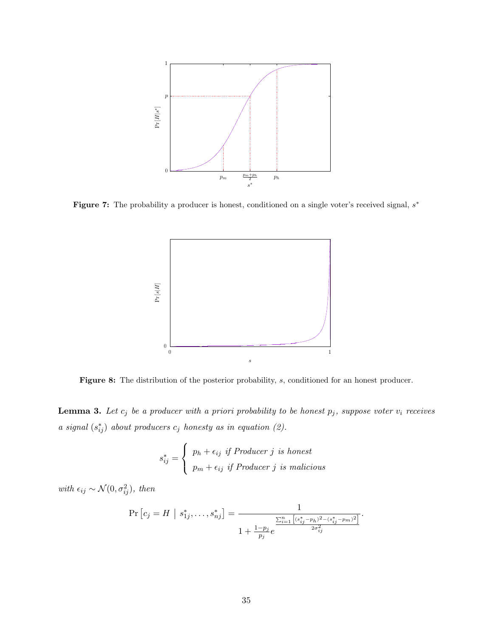

Figure 7: The probability a producer is honest, conditioned on a single voter's received signal,  $s^*$ 



Figure 8: The distribution of the posterior probability, s, conditioned for an honest producer.

<span id="page-34-0"></span>**Lemma 3.** Let  $c_j$  be a producer with a priori probability to be honest  $p_j$ , suppose voter  $v_i$  receives a signal  $(s_{ij}^*)$  about producers  $c_j$  honesty as in equation [\(2\)](#page-12-2).

$$
s_{ij}^* = \begin{cases} p_h + \epsilon_{ij} & \text{if } Product \text{ } j \text{ is honest} \\ p_m + \epsilon_{ij} & \text{if } Product \text{ } j \text{ is malicious} \end{cases}
$$

with  $\epsilon_{ij} \sim \mathcal{N}(0, \sigma_{ij}^2)$ , then

$$
\Pr\left[c_j = H \mid s_{1j}^*, \ldots, s_{nj}^*\right] = \frac{1}{1 + \frac{1 - p_j}{p_j} e^{\frac{\sum_{i=1}^n \left[(s_{ij}^* - p_h)^2 - (s_{ij}^* - p_m)^2\right]}{2\sigma_{ij}^2}}}.
$$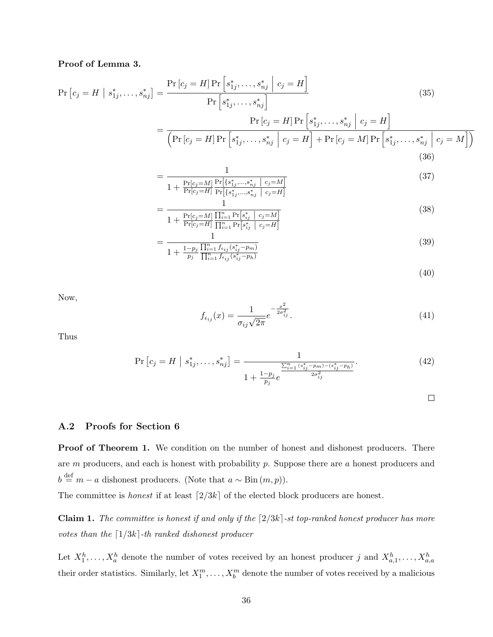## Proof of Lemma [3.](#page-34-0)

$$
\Pr\left[c_{j} = H \mid s_{1j}^{*}, \ldots, s_{nj}^{*}\right] = \frac{\Pr\left[c_{j} = H\right] \Pr\left[s_{1j}^{*}, \ldots, s_{nj}^{*} \mid c_{j} = H\right]}{\Pr\left[s_{1j}^{*}, \ldots, s_{nj}^{*}\right]}
$$
\n
$$
= \frac{\Pr\left[c_{j} = H\right] \Pr\left[s_{1j}^{*}, \ldots, s_{nj}^{*} \mid c_{j} = H\right]}{\left(\Pr\left[c_{j} = H\right] \Pr\left[s_{1j}^{*}, \ldots, s_{nj}^{*} \mid c_{j} = H\right] + \Pr\left[c_{j} = M\right] \Pr\left[s_{1j}^{*}, \ldots, s_{nj}^{*} \mid c_{j} = M\right]\right)}
$$
\n(36)

$$
= \frac{1}{1 + \frac{\Pr[c_j = M]}{\Pr[c_j = H]} \frac{\Pr[\{s_{1j}^*, \dots, s_{nj}^* \mid c_j = M\}]}{\Pr[\{s_{1j}^*, \dots, s_{nj}^* \mid c_j = H]}}}
$$
(37)

$$
= \frac{1}{1 + \frac{\Pr[c_j = M]}{\Pr[c_j = H]} \frac{\prod_{i=1}^{n} \Pr[s_{ij}^* \mid c_j = M]}{\prod_{i=1}^{n} \Pr[s_{ij}^* \mid c_j = H]}}
$$
(38)

$$
= \frac{1}{1 + \frac{1 - p_j \prod_{i=1}^{n} f_{\epsilon_{ij}}(s_{ij}^* - p_m)}{\prod_{i=1}^{n} f_{\epsilon_{ij}}(s_{ij}^* - p_h)}}
$$
(39)

$$
(40)
$$

Now,

$$
f_{\epsilon_{ij}}(x) = \frac{1}{\sigma_{ij}\sqrt{2\pi}} e^{-\frac{x^2}{2\sigma_{ij}^2}}.
$$
\n(41)

Thus

$$
\Pr\left[c_j = H \mid s_{1j}^*, \dots, s_{nj}^*\right] = \frac{1}{1 + \frac{1 - p_j}{p_j} e^{\frac{\sum_{i=1}^n (s_{ij}^* - p_m) - (s_{ij}^* - p_h)}{2\sigma_{ij}^2}}}.
$$
\n(42)

 $\Box$ 

#### A.2 Proofs for Section [6](#page-15-2)

**Proof of Theorem [1.](#page-15-1)** We condition on the number of honest and dishonest producers. There are m producers, and each is honest with probability p. Suppose there are a honest producers and  $b \stackrel{\text{def}}{=} m - a$  dishonest producers. (Note that  $a \sim Bin(m, p)$ ).

The committee is *honest* if at least  $\lceil 2/3k \rceil$  of the elected block producers are honest.

<span id="page-35-0"></span>**Claim 1.** The committee is honest if and only if the  $\lceil 2/3k \rceil$ -st top-ranked honest producer has more votes than the  $\lceil 1/3k \rceil$ -th ranked dishonest producer

Let  $X_1^h, \ldots, X_a^h$  denote the number of votes received by an honest producer j and  $X_{a,1}^h, \ldots, X_{a,a}^h$ their order statistics. Similarly, let  $X_1^m, \ldots, X_b^m$  denote the number of votes received by a malicious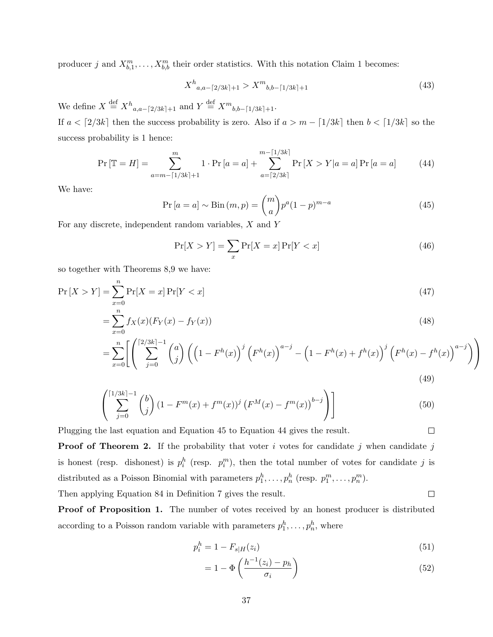producer j and  $X_{b,1}^m, \ldots, X_{b,b}^m$  $X_{b,1}^m, \ldots, X_{b,b}^m$  $X_{b,1}^m, \ldots, X_{b,b}^m$  their order statistics. With this notation Claim 1 becomes:

$$
X^{h}{}_{a,a-[2/3k]+1} > X^{m}{}_{b,b-[1/3k]+1}
$$
\n
$$
(43)
$$

We define  $X \stackrel{\text{def}}{=} X^h_{a,a-[2/3k]+1}$  and  $Y \stackrel{\text{def}}{=} X^m_{b,b-[1/3k]+1}$ .

If  $a < \lceil 2/3k \rceil$  then the success probability is zero. Also if  $a > m - \lceil 1/3k \rceil$  then  $b < \lceil 1/3k \rceil$  so the success probability is 1 hence:

<span id="page-36-1"></span>
$$
\Pr\left[\mathbb{T} = H\right] = \sum_{a=m-\lceil 1/3k \rceil+1}^{m} 1 \cdot \Pr\left[a=a\right] + \sum_{a=\lceil 2/3k \rceil}^{m-\lceil 1/3k \rceil} \Pr\left[X > Y | a=a\right] \Pr\left[a=a\right] \tag{44}
$$

We have:

<span id="page-36-0"></span>
$$
\Pr\left[a=a\right] \sim \text{Bin}\left(m, p\right) = \binom{m}{a} p^a (1-p)^{m-a} \tag{45}
$$

For any discrete, independent random variables, X and Y

$$
\Pr[X > Y] = \sum_{x} \Pr[X = x] \Pr[Y < x] \tag{46}
$$

so together with Theorems [8](#page-43-0)[,9](#page-44-0) we have:

$$
\Pr\left[X > Y\right] = \sum_{x=0}^{n} \Pr[X = x] \Pr[Y < x] \tag{47}
$$

$$
=\sum_{x=0}^{n} f_X(x)(F_Y(x) - f_Y(x))
$$
\n(48)

$$
= \sum_{x=0}^{n} \left[ \left( \sum_{j=0}^{\lceil 2/3k \rceil - 1} {a \choose j} \left( \left( 1 - F^h(x) \right)^j \left( F^h(x) \right)^{a-j} - \left( 1 - F^h(x) + f^h(x) \right)^j \left( F^h(x) - f^h(x) \right)^{a-j} \right) \right)
$$
\n(49)

$$
\left(\sum_{j=0}^{\lceil 1/3k \rceil - 1} \binom{b}{j} \left(1 - F^m(x) + f^m(x)\right)^j \left(F^M(x) - f^m(x)\right)^{b-j}\right)\right]
$$
(50)

Plugging the last equation and Equation [45](#page-36-0) to Equation [44](#page-36-1) gives the result.

**Proof of Theorem [2.](#page-16-0)** If the probability that voter i votes for candidate j when candidate j is honest (resp. dishonest) is  $p_i^h$  (resp.  $p_i^m$ ), then the total number of votes for candidate j is distributed as a Poisson Binomial with parameters  $p_1^h, \ldots, p_n^h$  (resp.  $p_1^m, \ldots, p_n^m$ ).

Then applying Equation [84](#page-42-1) in Definition [7](#page-42-2) gives the result.

Proof of Proposition [1.](#page-17-0) The number of votes received by an honest producer is distributed according to a Poisson random variable with parameters  $p_1^h, \ldots, p_n^h$ , where

$$
p_i^h = 1 - F_{s|H}(z_i)
$$
\n(51)

$$
= 1 - \Phi\left(\frac{h^{-1}(z_i) - p_h}{\sigma_i}\right) \tag{52}
$$

 $\Box$ 

 $\Box$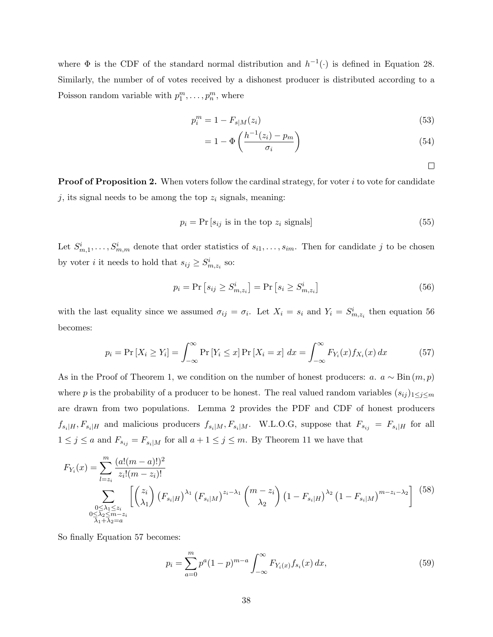where  $\Phi$  is the CDF of the standard normal distribution and  $h^{-1}(\cdot)$  is defined in Equation [28.](#page-32-1) Similarly, the number of of votes received by a dishonest producer is distributed according to a Poisson random variable with  $p_1^m, \ldots, p_n^m$ , where

$$
p_i^m = 1 - F_{s|M}(z_i)
$$
\n(53)

$$
=1-\Phi\left(\frac{h^{-1}(z_i)-p_m}{\sigma_i}\right) \tag{54}
$$

 $\Box$ 

**Proof of Proposition [2.](#page-17-2)** When voters follow the cardinal strategy, for voter  $i$  to vote for candidate j, its signal needs to be among the top  $z_i$  signals, meaning:

$$
p_i = \Pr[s_{ij} \text{ is in the top } z_i \text{ signals}] \tag{55}
$$

Let  $S_{m,1}^i, \ldots, S_{m,m}^i$  denote that order statistics of  $s_{i1}, \ldots, s_{im}$ . Then for candidate j to be chosen by voter *i* it needs to hold that  $s_{ij} \geq S_{m,z_i}^i$  so:

<span id="page-37-0"></span>
$$
p_i = \Pr\left[s_{ij} \ge S_{m,z_i}^i\right] = \Pr\left[s_i \ge S_{m,z_i}^i\right] \tag{56}
$$

with the last equality since we assumed  $\sigma_{ij} = \sigma_i$ . Let  $X_i = s_i$  and  $Y_i = S^i_{m,z_i}$  then equation [56](#page-37-0) becomes:

<span id="page-37-1"></span>
$$
p_i = \Pr\left[X_i \ge Y_i\right] = \int_{-\infty}^{\infty} \Pr\left[Y_i \le x\right] \Pr\left[X_i = x\right] \, dx = \int_{-\infty}^{\infty} F_{Y_i}(x) f_{X_i}(x) \, dx \tag{57}
$$

As in the Proof of Theorem [1,](#page-15-1) we condition on the number of honest producers: a.  $a \sim Bin(m, p)$ where p is the probability of a producer to be honest. The real valued random variables  $(s_{ij})_{1\leq j\leq m}$ are drawn from two populations. Lemma 2 provides the PDF and CDF of honest producers  $f_{s_i|H}, F_{s_i|H}$  and malicious producers  $f_{s_i|M}, F_{s_i|M}$ . W.L.O.G, suppose that  $F_{s_{ij}} = F_{s_i|H}$  for all  $1 \leq j \leq a$  and  $F_{s_{ij}} = F_{s_i|M}$  for all  $a + 1 \leq j \leq m$ . By Theorem [11](#page-44-1) we have that

<span id="page-37-2"></span>
$$
F_{Y_i}(x) = \sum_{l=z_i}^{m} \frac{(a!(m-a)!)^2}{z_i!(m-z_i)!}
$$
  

$$
\sum_{\substack{0 \le \lambda_1 \le z_i \\ 0 \le \lambda_2 \le m-z_i}} \left[ \binom{z_i}{\lambda_1} \left( F_{s_i|H} \right)^{\lambda_1} \left( F_{s_i|M} \right)^{z_i-\lambda_1} \binom{m-z_i}{\lambda_2} \left( 1 - F_{s_i|H} \right)^{\lambda_2} \left( 1 - F_{s_i|M} \right)^{m-z_i-\lambda_2} \right] \tag{58}
$$

So finally Equation [57](#page-37-1) becomes:

<span id="page-37-3"></span>
$$
p_i = \sum_{a=0}^{m} p^a (1-p)^{m-a} \int_{-\infty}^{\infty} F_{Y_i(x)} f_{s_i}(x) dx,
$$
\n(59)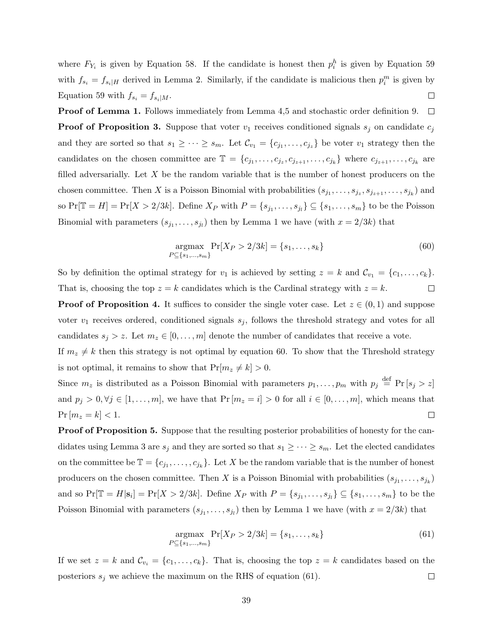where  $F_{Y_i}$  is given by Equation [58.](#page-37-2) If the candidate is honest then  $p_i^h$  is given by Equation [59](#page-37-3) with  $f_{s_i} = f_{s_i|H}$  derived in Lemma [2.](#page-30-0) Similarly, if the candidate is malicious then  $p_i^m$  is given by Equation [59](#page-37-3) with  $f_{s_i} = f_{s_i|M}$ .  $\Box$ 

Proof of Lemma [1.](#page-19-2) Follows immediately from Lemma [4,](#page-42-3)[5](#page-42-4) and stochastic order definition [9.](#page-44-2)  $\Box$ **Proof of Proposition [3.](#page-20-0)** Suppose that voter  $v_1$  receives conditioned signals  $s_j$  on candidate  $c_j$ and they are sorted so that  $s_1 \geq \cdots \geq s_m$ . Let  $\mathcal{C}_{v_1} = \{c_{j_1}, \ldots, c_{j_z}\}\)$  be voter  $v_1$  strategy then the candidates on the chosen committee are  $\mathbb{T} = \{c_{j_1}, \ldots, c_{j_z}, c_{j_{z+1}}, \ldots, c_{j_k}\}\$  where  $c_{j_{z+1}}, \ldots, c_{j_k}$  are filled adversarially. Let  $X$  be the random variable that is the number of honest producers on the chosen committee. Then X is a Poisson Binomial with probabilities  $(s_{j_1},...,s_{j_z},s_{j_{z+1}},...,s_{j_k})$  and so  $Pr[\mathbb{T} = H] = Pr[X > 2/3k]$ . Define  $X_P$  with  $P = \{s_{j_1}, \ldots, s_{j_l}\} \subseteq \{s_1, \ldots, s_m\}$  to be the Poisson Binomial with parameters  $(s_{j_1},...,s_{j_l})$  $(s_{j_1},...,s_{j_l})$  $(s_{j_1},...,s_{j_l})$  then by Lemma 1 we have (with  $x = 2/3k$ ) that

<span id="page-38-0"></span>
$$
\underset{P \subseteq \{s_1, \dots, s_m\}}{\text{argmax}} \Pr[X_P > 2/3k] = \{s_1, \dots, s_k\} \tag{60}
$$

So by definition the optimal strategy for  $v_1$  is achieved by setting  $z = k$  and  $\mathcal{C}_{v_1} = \{c_1, \ldots, c_k\}.$ That is, choosing the top  $z = k$  candidates which is the Cardinal strategy with  $z = k$ .  $\Box$ 

**Proof of Proposition [4.](#page-20-1)** It suffices to consider the single voter case. Let  $z \in (0,1)$  and suppose voter  $v_1$  receives ordered, conditioned signals  $s_j$ , follows the threshold strategy and votes for all candidates  $s_j > z$ . Let  $m_z \in [0, \ldots, m]$  denote the number of candidates that receive a vote.

If  $m_z \neq k$  then this strategy is not optimal by equation [60.](#page-38-0) To show that the Threshold strategy is not optimal, it remains to show that  $Pr[m_z \neq k] > 0$ .

Since  $m_z$  is distributed as a Poisson Binomial with parameters  $p_1, \ldots, p_m$  with  $p_j \stackrel{\text{def}}{=} \Pr[s_j > z]$ and  $p_j > 0, \forall j \in [1, \ldots, m]$ , we have that  $Pr[m_z = i] > 0$  for all  $i \in [0, \ldots, m]$ , which means that  $Pr[m_z = k] < 1.$  $\Box$ 

**Proof of Proposition [5.](#page-21-2)** Suppose that the resulting posterior probabilities of honesty for the can-didates using Lemma [3](#page-34-0) are  $s_j$  and they are sorted so that  $s_1 \geq \cdots \geq s_m$ . Let the elected candidates on the committee be  $\mathbb{T} = \{c_{j_1}, \ldots, c_{j_k}\}\.$  Let X be the random variable that is the number of honest producers on the chosen committee. Then X is a Poisson Binomial with probabilities  $(s_{j_1},...,s_{j_k})$ and so  $Pr[\mathbb{T} = H | \mathbf{s}_i] = Pr[X > 2/3k]$ . Define  $X_P$  with  $P = \{s_{j_1}, \ldots, s_{j_l}\} \subseteq \{s_1, \ldots, s_m\}$  to be the Poisson Binomial with parameters  $(s_{j_1},...,s_{j_l})$  $(s_{j_1},...,s_{j_l})$  $(s_{j_1},...,s_{j_l})$  then by Lemma 1 we have (with  $x = 2/3k$ ) that

<span id="page-38-1"></span>
$$
\underset{P \subseteq \{s_1, \dots, s_m\}}{\text{argmax}} \Pr[X_P > 2/3k] = \{s_1, \dots, s_k\} \tag{61}
$$

If we set  $z = k$  and  $\mathcal{C}_{v_i} = \{c_1, \ldots, c_k\}$ . That is, choosing the top  $z = k$  candidates based on the posteriors  $s_i$  we achieve the maximum on the RHS of equation [\(61\)](#page-38-1).  $\Box$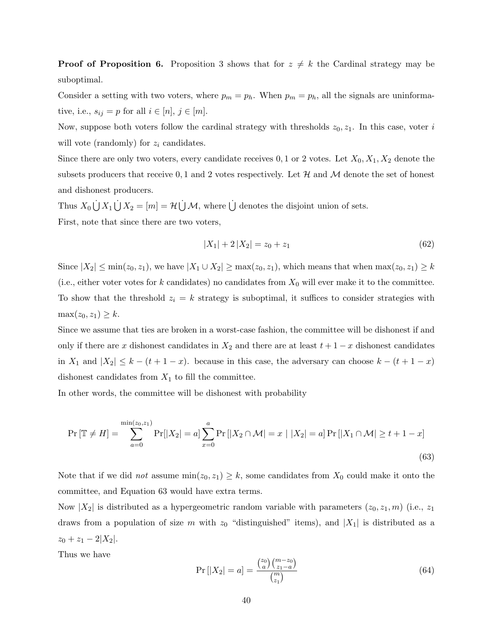**Proof of Proposition [6.](#page-21-0)** Proposition [3](#page-20-0) shows that for  $z \neq k$  the Cardinal strategy may be suboptimal.

Consider a setting with two voters, where  $p_m = p_h$ . When  $p_m = p_h$ , all the signals are uninformative, i.e.,  $s_{ij} = p$  for all  $i \in [n], j \in [m]$ .

Now, suppose both voters follow the cardinal strategy with thresholds  $z_0, z_1$ . In this case, voter i will vote (randomly) for  $z_i$  candidates.

Since there are only two voters, every candidate receives  $0, 1$  or 2 votes. Let  $X_0, X_1, X_2$  denote the subsets producers that receive 0, 1 and 2 votes respectively. Let  $\mathcal H$  and  $\mathcal M$  denote the set of honest and dishonest producers.

Thus  $X_0 \cup X_1 \cup X_2 = [m] = \mathcal{H} \cup \mathcal{M}$ , where  $\cup$  denotes the disjoint union of sets. First, note that since there are two voters,

$$
|X_1| + 2|X_2| = z_0 + z_1 \tag{62}
$$

Since  $|X_2| \le \min(z_0, z_1)$ , we have  $|X_1 \cup X_2| \ge \max(z_0, z_1)$ , which means that when  $\max(z_0, z_1) \ge k$ (i.e., either voter votes for k candidates) no candidates from  $X_0$  will ever make it to the committee. To show that the threshold  $z_i = k$  strategy is suboptimal, it suffices to consider strategies with  $\max(z_0, z_1) \geq k$ .

Since we assume that ties are broken in a worst-case fashion, the committee will be dishonest if and only if there are x dishonest candidates in  $X_2$  and there are at least  $t + 1 - x$  dishonest candidates in  $X_1$  and  $|X_2| \leq k - (t + 1 - x)$ . because in this case, the adversary can choose  $k - (t + 1 - x)$ dishonest candidates from  $X_1$  to fill the committee.

In other words, the committee will be dishonest with probability

$$
\Pr\left[\mathbb{T} \neq H\right] = \sum_{a=0}^{\min(z_0, z_1)} \Pr[|X_2| = a] \sum_{x=0}^{a} \Pr[|X_2 \cap \mathcal{M}| = x \mid |X_2| = a] \Pr[|X_1 \cap \mathcal{M}| \ge t + 1 - x]
$$
\n(63)

Note that if we did *not* assume  $\min(z_0, z_1) \geq k$ , some candidates from  $X_0$  could make it onto the committee, and Equation [63](#page-39-0) would have extra terms.

Now  $|X_2|$  is distributed as a hypergeometric random variable with parameters  $(z_0, z_1, m)$  (i.e.,  $z_1$ ) draws from a population of size m with  $z_0$  "distinguished" items), and  $|X_1|$  is distributed as a  $z_0 + z_1 - 2|X_2|$ .

Thus we have

<span id="page-39-0"></span>
$$
\Pr\left[|X_2| = a\right] = \frac{\binom{z_0}{a}\binom{m-z_0}{z_1-a}}{\binom{m}{z_1}}
$$
\n(64)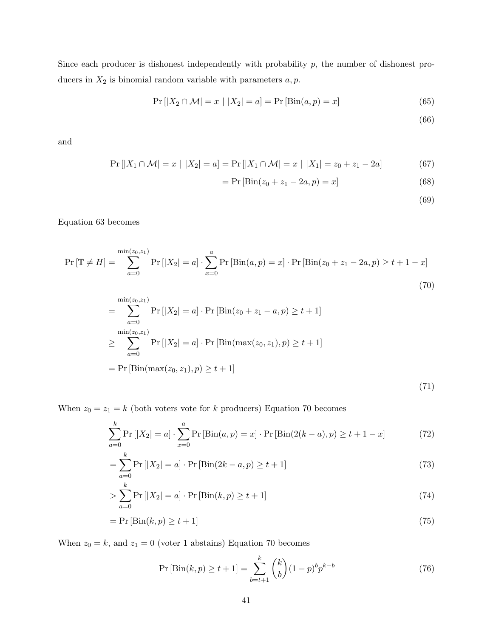Since each producer is dishonest independently with probability  $p$ , the number of dishonest producers in  $X_2$  is binomial random variable with parameters  $a, p$ .

$$
Pr[|X_2 \cap M| = x | |X_2| = a] = Pr[Bin(a, p) = x]
$$
\n(65)

(66)

and

$$
Pr[|X_1 \cap \mathcal{M}| = x | |X_2| = a] = Pr[|X_1 \cap \mathcal{M}| = x | |X_1| = z_0 + z_1 - 2a]
$$
(67)

$$
= Pr [Bin(z0 + z1 - 2a, p) = x]
$$
\n(68)

<span id="page-40-1"></span><span id="page-40-0"></span>(69)

Equation [63](#page-39-0) becomes

$$
\Pr\left[\mathbb{T} \neq H\right] = \sum_{a=0}^{\min(z_0, z_1)} \Pr\left[|X_2| = a\right] \cdot \sum_{x=0}^{a} \Pr\left[\text{Bin}(a, p) = x\right] \cdot \Pr\left[\text{Bin}(z_0 + z_1 - 2a, p) \ge t + 1 - x\right] \tag{70}
$$

$$
= \sum_{a=0}^{\min(z_0, z_1)} \Pr[|X_2| = a] \cdot \Pr[\text{Bin}(z_0 + z_1 - a, p) \ge t + 1]
$$
  
\n
$$
\ge \sum_{a=0}^{\min(z_0, z_1)} \Pr[|X_2| = a] \cdot \Pr[\text{Bin}(\max(z_0, z_1), p) \ge t + 1]
$$
  
\n
$$
= \Pr[\text{Bin}(\max(z_0, z_1), p) \ge t + 1]
$$
\n(71)

When  $z_0 = z_1 = k$  (both voters vote for k producers) Equation [70](#page-40-0) becomes

$$
\sum_{a=0}^{k} \Pr[|X_2| = a] \cdot \sum_{x=0}^{a} \Pr[\text{Bin}(a, p) = x] \cdot \Pr[\text{Bin}(2(k-a), p) \ge t+1-x]
$$
 (72)

$$
= \sum_{a=0}^{k} \Pr\left[|X_2| = a\right] \cdot \Pr\left[\text{Bin}(2k - a, p) \ge t + 1\right] \tag{73}
$$

> 
$$
\sum_{a=0}^{k} \Pr[|X_2| = a] \cdot \Pr[\text{Bin}(k, p) \ge t + 1]
$$
 (74)

$$
= \Pr\left[\text{Bin}(k, p) \ge t + 1\right] \tag{75}
$$

When  $z_0 = k$ , and  $z_1 = 0$  (voter 1 abstains) Equation [70](#page-40-0) becomes

<span id="page-40-2"></span>
$$
\Pr\left[\text{Bin}(k, p) \ge t + 1\right] = \sum_{b=t+1}^{k} \binom{k}{b} (1-p)^b p^{k-b} \tag{76}
$$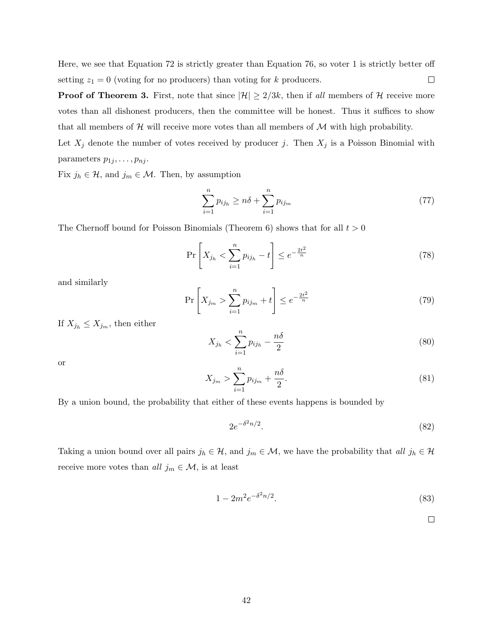Here, we see that Equation [72](#page-40-1) is strictly greater than Equation [76,](#page-40-2) so voter 1 is strictly better off  $\Box$ setting  $z_1 = 0$  (voting for no producers) than voting for k producers.

**Proof of Theorem [3.](#page-22-0)** First, note that since  $|\mathcal{H}| \geq 2/3k$ , then if all members of  $\mathcal{H}$  receive more votes than all dishonest producers, then the committee will be honest. Thus it suffices to show that all members of  $H$  will receive more votes than all members of  $M$  with high probability.

Let  $X_j$  denote the number of votes received by producer j. Then  $X_j$  is a Poisson Binomial with parameters  $p_{1j}, \ldots, p_{nj}$ .

Fix  $j_h \in \mathcal{H}$ , and  $j_m \in \mathcal{M}$ . Then, by assumption

$$
\sum_{i=1}^{n} p_{ij_h} \ge n\delta + \sum_{i=1}^{n} p_{ij_m} \tag{77}
$$

The Chernoff bound for Poisson Binomials (Theorem [6\)](#page-43-1) shows that for all  $t > 0$ 

$$
\Pr\left[X_{j_h} < \sum_{i=1}^n p_{ij_h} - t\right] \le e^{-\frac{2t^2}{n}}\tag{78}
$$

and similarly

$$
\Pr\left[X_{j_m} > \sum_{i=1}^n p_{ij_m} + t\right] \le e^{-\frac{2t^2}{n}} \tag{79}
$$

If  $X_{j_h} \leq X_{j_m}$ , then either

$$
X_{j_h} < \sum_{i=1}^n p_{ij_h} - \frac{n\delta}{2} \tag{80}
$$

or

$$
X_{j_m} > \sum_{i=1}^{n} p_{ij_m} + \frac{n\delta}{2}.
$$
\n(81)

By a union bound, the probability that either of these events happens is bounded by

$$
2e^{-\delta^2 n/2}.\tag{82}
$$

Taking a union bound over all pairs  $j_h \in \mathcal{H}$ , and  $j_m \in \mathcal{M}$ , we have the probability that all  $j_h \in \mathcal{H}$ receive more votes than all  $j_m \in \mathcal{M}$ , is at least

$$
1 - 2m^2 e^{-\delta^2 n/2}.
$$
\n(83)

 $\Box$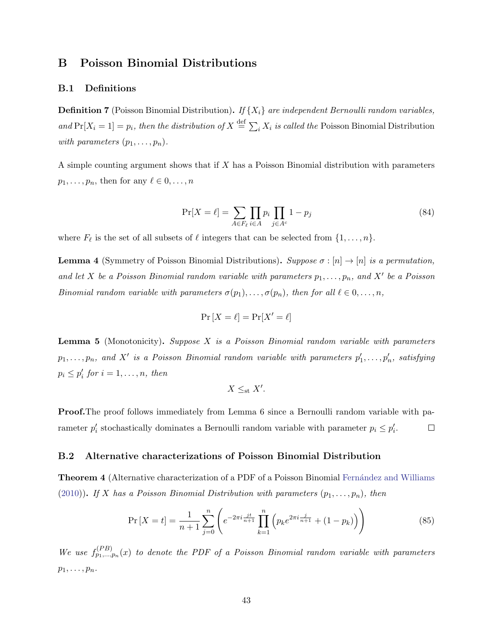## <span id="page-42-0"></span>B Poisson Binomial Distributions

#### B.1 Definitions

<span id="page-42-2"></span>**Definition 7** (Poisson Binomial Distribution). If  $\{X_i\}$  are independent Bernoulli random variables, and  $Pr[X_i = 1] = p_i$ , then the distribution of  $X \stackrel{\text{def}}{=} \sum_i X_i$  is called the Poisson Binomial Distribution with parameters  $(p_1, \ldots, p_n)$ .

A simple counting argument shows that if X has a Poisson Binomial distribution with parameters  $p_1, \ldots, p_n$ , then for any  $\ell \in 0, \ldots, n$ 

<span id="page-42-1"></span>
$$
\Pr[X = \ell] = \sum_{A \in F_{\ell}} \prod_{i \in A} p_i \prod_{j \in A^c} 1 - p_j \tag{84}
$$

where  $F_{\ell}$  is the set of all subsets of  $\ell$  integers that can be selected from  $\{1, \ldots, n\}$ .

<span id="page-42-3"></span>**Lemma 4** (Symmetry of Poisson Binomial Distributions). Suppose  $\sigma : [n] \rightarrow [n]$  is a permutation, and let X be a Poisson Binomial random variable with parameters  $p_1, \ldots, p_n$ , and X' be a Poisson Binomial random variable with parameters  $\sigma(p_1), \ldots, \sigma(p_n)$ , then for all  $\ell \in {0, \ldots, n}$ ,

$$
\Pr\left[X=\ell\right] = \Pr[X'=\ell]
$$

<span id="page-42-4"></span>**Lemma 5** (Monotonicity). Suppose X is a Poisson Binomial random variable with parameters  $p_1,\ldots,p_n$ , and  $X'$  is a Poisson Binomial random variable with parameters  $p'_1,\ldots,p'_n$ , satisfying  $p_i \leq p'_i$  for  $i = 1, \ldots, n$ , then

$$
X \leq_{\rm st} X'.
$$

**Proof.**The proof follows immediately from Lemma [6](#page-45-0) since a Bernoulli random variable with parameter  $p'_i$  stochastically dominates a Bernoulli random variable with parameter  $p_i \leq p'_i$ .  $\Box$ 

#### B.2 Alternative characterizations of Poisson Binomial Distribution

**Theorem 4** (Alternative characterization of a PDF of a Poisson Binomial Fernández and Williams [\(2010\)](#page-27-14)). If X has a Poisson Binomial Distribution with parameters  $(p_1, \ldots, p_n)$ , then

$$
\Pr\left[X=t\right] = \frac{1}{n+1} \sum_{j=0}^{n} \left( e^{-2\pi i \frac{j t}{n+1}} \prod_{k=1}^{n} \left( p_k e^{2\pi i \frac{j}{n+1}} + (1 - p_k) \right) \right) \tag{85}
$$

We use  $f_{p_1,...,p_n}^{(PB)}(x)$  to denote the PDF of a Poisson Binomial random variable with parameters  $p_1, \ldots, p_n$ .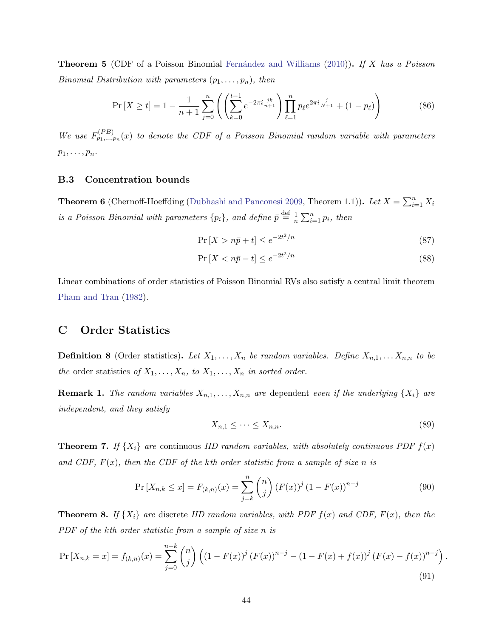**Theorem 5** (CDF of a Poisson Binomial Fernández and Williams [\(2010\)](#page-27-14)). If X has a Poisson *Binomial Distribution with parameters*  $(p_1, \ldots, p_n)$ , then

$$
\Pr\left[X \ge t\right] = 1 - \frac{1}{n+1} \sum_{j=0}^{n} \left( \left( \sum_{k=0}^{t-1} e^{-2\pi i \frac{jk}{n+1}} \right) \prod_{\ell=1}^{n} p_{\ell} e^{2\pi i \frac{j}{N+1}} + (1 - p_{\ell}) \right) \tag{86}
$$

We use  $F_{p_1,...,p_n}^{(PB)}(x)$  to denote the CDF of a Poisson Binomial random variable with parameters  $p_1, \ldots, p_n$ .

#### B.3 Concentration bounds

<span id="page-43-1"></span>**Theorem 6** (Chernoff-Hoeffding [\(Dubhashi and Panconesi](#page-27-15) [2009,](#page-27-15) Theorem 1.1)). Let  $X = \sum_{i=1}^{n} X_i$ is a Poisson Binomial with parameters  $\{p_i\}$ , and define  $\bar{p} \stackrel{\text{def}}{=} \frac{1}{n}$  $\frac{1}{n} \sum_{i=1}^{n} p_i$ , then

$$
\Pr\left[X > n\bar{p} + t\right] \le e^{-2t^2/n} \tag{87}
$$

$$
\Pr\left[X < n\bar{p} - t\right] \le e^{-2t^2/n} \tag{88}
$$

Linear combinations of order statistics of Poisson Binomial RVs also satisfy a central limit theorem [Pham and Tran](#page-28-16) [\(1982\)](#page-28-16).

## C Order Statistics

**Definition 8** (Order statistics). Let  $X_1, \ldots, X_n$  be random variables. Define  $X_{n,1}, \ldots, X_{n,n}$  to be the order statistics of  $X_1, \ldots, X_n$ , to  $X_1, \ldots, X_n$  in sorted order.

**Remark 1.** The random variables  $X_{n,1}, \ldots, X_{n,n}$  are dependent even if the underlying  $\{X_i\}$  are independent, and they satisfy

$$
X_{n,1} \leq \cdots \leq X_{n,n}.\tag{89}
$$

**Theorem 7.** If  $\{X_i\}$  are continuous IID random variables, with absolutely continuous PDF  $f(x)$ and CDF,  $F(x)$ , then the CDF of the kth order statistic from a sample of size n is

$$
\Pr\left[X_{n,k}\leq x\right] = F_{(k,n)}(x) = \sum_{j=k}^{n} \binom{n}{j} \left(F(x)\right)^{j} \left(1 - F(x)\right)^{n-j} \tag{90}
$$

<span id="page-43-0"></span>**Theorem 8.** If  $\{X_i\}$  are discrete IID random variables, with PDF  $f(x)$  and CDF,  $F(x)$ , then the PDF of the kth order statistic from a sample of size n is

$$
\Pr\left[X_{n,k}=x\right] = f_{(k,n)}(x) = \sum_{j=0}^{n-k} \binom{n}{j} \left( (1-F(x))^j \left( F(x) \right)^{n-j} - (1-F(x)+f(x))^j \left( F(x) - f(x) \right)^{n-j} \right). \tag{91}
$$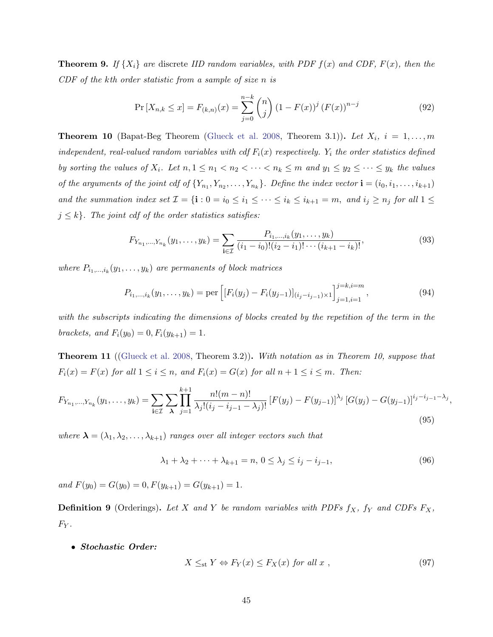<span id="page-44-0"></span>**Theorem 9.** If  $\{X_i\}$  are discrete IID random variables, with PDF  $f(x)$  and CDF,  $F(x)$ , then the CDF of the kth order statistic from a sample of size n is

$$
\Pr\left[X_{n,k}\leq x\right] = F_{(k,n)}(x) = \sum_{j=0}^{n-k} \binom{n}{j} \left(1 - F(x)\right)^j \left(F(x)\right)^{n-j} \tag{92}
$$

<span id="page-44-3"></span>**Theorem 10** (Bapat-Beg Theorem [\(Glueck et al.](#page-27-16) [2008,](#page-27-16) Theorem 3.1)). Let  $X_i$ ,  $i = 1, \ldots, m$ independent, real-valued random variables with cdf  $F_i(x)$  respectively.  $Y_i$  the order statistics defined by sorting the values of  $X_i$ . Let  $n, 1 \leq n_1 < n_2 < \cdots < n_k \leq m$  and  $y_1 \leq y_2 \leq \cdots \leq y_k$  the values of the arguments of the joint cdf of  $\{Y_{n_1}, Y_{n_2}, \ldots, Y_{n_k}\}$ . Define the index vector  $\mathbf{i} = (i_0, i_1, \ldots, i_{k+1})$ and the summation index set  $\mathcal{I} = \{\mathbf{i} : 0 = i_0 \le i_1 \le \cdots \le i_k \le i_{k+1} = m$ , and  $i_j \ge n_j$  for all  $1 \le j$  $j \leq k$ . The joint cdf of the order statistics satisfies:

$$
F_{Y_{n_1},...,Y_{n_k}}(y_1,...,y_k) = \sum_{\mathbf{i} \in \mathcal{I}} \frac{P_{i_1,...,i_k}(y_1,...,y_k)}{(i_1 - i_0)!(i_2 - i_1)!\cdots(i_{k+1} - i_k)!},\tag{93}
$$

where  $P_{i_1,\dots,i_k}(y_1,\dots,y_k)$  are permanents of block matrices

$$
P_{i_1,\dots,i_k}(y_1,\dots,y_k) = \text{per}\left[ [F_i(y_j) - F_i(y_{j-1})]_{(i_j - i_{j-1}) \times 1} \right]_{j=1,i=1}^{j=k,i=m},\tag{94}
$$

with the subscripts indicating the dimensions of blocks created by the repetition of the term in the brackets, and  $F_i(y_0) = 0, F_i(y_{k+1}) = 1.$ 

<span id="page-44-1"></span>**Theorem 11** ([\(Glueck et al.](#page-27-16) [2008,](#page-27-16) Theorem 3.2)). With notation as in Theorem [10,](#page-44-3) suppose that  $F_i(x) = F(x)$  for all  $1 \leq i \leq n$ , and  $F_i(x) = G(x)$  for all  $n + 1 \leq i \leq m$ . Then:

$$
F_{Y_{n_1},...,Y_{n_k}}(y_1,...,y_k) = \sum_{\mathbf{i}\in\mathcal{I}}\sum_{\lambda}\prod_{j=1}^{k+1}\frac{n!(m-n)!}{\lambda_j!(i_j-i_{j-1}-\lambda_j)!}\left[F(y_j) - F(y_{j-1})\right]^{\lambda_j}\left[G(y_j) - G(y_{j-1})\right]^{i_j-i_{j-1}-\lambda_j}
$$
\n(95)

where  $\lambda = (\lambda_1, \lambda_2, \dots, \lambda_{k+1})$  ranges over all integer vectors such that

$$
\lambda_1 + \lambda_2 + \dots + \lambda_{k+1} = n, \ 0 \le \lambda_j \le i_j - i_{j-1}, \tag{96}
$$

,

and  $F(y_0) = G(y_0) = 0, F(y_{k+1}) = G(y_{k+1}) = 1.$ 

<span id="page-44-2"></span>**Definition 9** (Orderings). Let X and Y be random variables with PDFs  $f_X$ ,  $f_Y$  and CDFs  $F_X$ ,  $F_Y$ .

#### • Stochastic Order:

$$
X \leq_{st} Y \Leftrightarrow F_Y(x) \leq F_X(x) \text{ for all } x , \qquad (97)
$$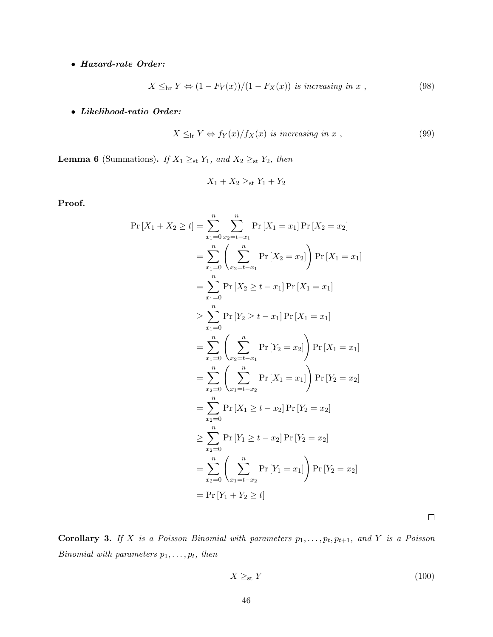## • Hazard-rate Order:

$$
X \leq_{\text{hr}} Y \Leftrightarrow (1 - F_Y(x))/(1 - F_X(x)) \text{ is increasing in } x , \qquad (98)
$$

# • Likelihood-ratio Order:

$$
X \leq_{\rm lr} Y \Leftrightarrow f_Y(x)/f_X(x) \text{ is increasing in } x , \qquad (99)
$$

<span id="page-45-0"></span>**Lemma 6** (Summations). If  $X_1 \geq_{st} Y_1$ , and  $X_2 \geq_{st} Y_2$ , then

$$
X_1 + X_2 \geq_{\text{st}} Y_1 + Y_2
$$

Proof.

$$
\Pr\left[X_{1} + X_{2} \geq t\right] = \sum_{x_{1}=0}^{n} \sum_{x_{2}=t-x_{1}}^{n} \Pr\left[X_{1} = x_{1}\right] \Pr\left[X_{2} = x_{2}\right]
$$
\n
$$
= \sum_{x_{1}=0}^{n} \left(\sum_{x_{2}=t-x_{1}}^{n} \Pr\left[X_{2} = x_{2}\right]\right) \Pr\left[X_{1} = x_{1}\right]
$$
\n
$$
= \sum_{x_{1}=0}^{n} \Pr\left[X_{2} \geq t-x_{1}\right] \Pr\left[X_{1} = x_{1}\right]
$$
\n
$$
\geq \sum_{x_{1}=0}^{n} \Pr\left[Y_{2} \geq t-x_{1}\right] \Pr\left[X_{1} = x_{1}\right]
$$
\n
$$
= \sum_{x_{1}=0}^{n} \left(\sum_{x_{2}=t-x_{1}}^{n} \Pr\left[Y_{2} = x_{2}\right]\right) \Pr\left[X_{1} = x_{1}\right]
$$
\n
$$
= \sum_{x_{2}=0}^{n} \left(\sum_{x_{1}=t-x_{2}}^{n} \Pr\left[X_{1} = x_{1}\right]\right) \Pr\left[Y_{2} = x_{2}\right]
$$
\n
$$
= \sum_{x_{2}=0}^{n} \Pr\left[X_{1} \geq t-x_{2}\right] \Pr\left[Y_{2} = x_{2}\right]
$$
\n
$$
\geq \sum_{x_{2}=0}^{n} \Pr\left[Y_{1} \geq t-x_{2}\right] \Pr\left[Y_{2} = x_{2}\right]
$$
\n
$$
= \sum_{x_{2}=0}^{n} \left(\sum_{x_{1}=t-x_{2}}^{n} \Pr\left[Y_{1} = x_{1}\right]\right) \Pr\left[Y_{2} = x_{2}\right]
$$
\n
$$
= \Pr\left[Y_{1} + Y_{2} \geq t\right]
$$

 $\Box$ 

**Corollary 3.** If X is a Poisson Binomial with parameters  $p_1, \ldots, p_t, p_{t+1}$ , and Y is a Poisson Binomial with parameters  $p_1, \ldots, p_t$ , then

$$
X \geq_{\text{st}} Y \tag{100}
$$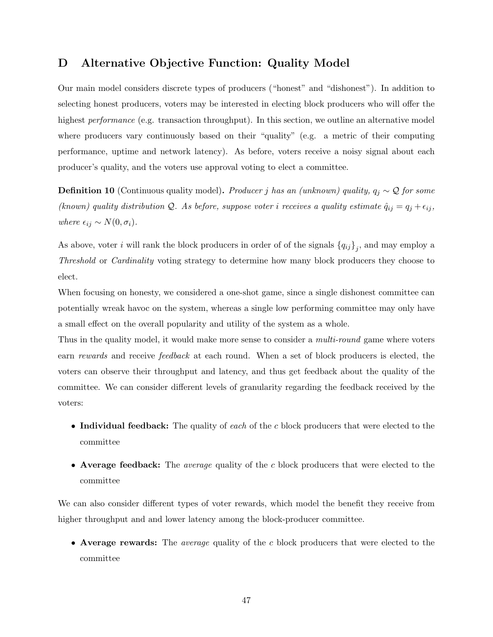# <span id="page-46-0"></span>D Alternative Objective Function: Quality Model

Our main model considers discrete types of producers ("honest" and "dishonest"). In addition to selecting honest producers, voters may be interested in electing block producers who will offer the highest *performance* (e.g. transaction throughput). In this section, we outline an alternative model where producers vary continuously based on their "quality" (e.g. a metric of their computing performance, uptime and network latency). As before, voters receive a noisy signal about each producer's quality, and the voters use approval voting to elect a committee.

**Definition 10** (Continuous quality model). Producer j has an (unknown) quality,  $q_j \sim Q$  for some (known) quality distribution Q. As before, suppose voter i receives a quality estimate  $\hat{q}_{ij} = q_j + \epsilon_{ij}$ , where  $\epsilon_{ij} \sim N(0, \sigma_i)$ .

As above, voter i will rank the block producers in order of of the signals  $\{q_{ij}\}_j$ , and may employ a Threshold or Cardinality voting strategy to determine how many block producers they choose to elect.

When focusing on honesty, we considered a one-shot game, since a single dishonest committee can potentially wreak havoc on the system, whereas a single low performing committee may only have a small effect on the overall popularity and utility of the system as a whole.

Thus in the quality model, it would make more sense to consider a *multi-round* game where voters earn rewards and receive feedback at each round. When a set of block producers is elected, the voters can observe their throughput and latency, and thus get feedback about the quality of the committee. We can consider different levels of granularity regarding the feedback received by the voters:

- Individual feedback: The quality of each of the c block producers that were elected to the committee
- Average feedback: The *average* quality of the c block producers that were elected to the committee

We can also consider different types of voter rewards, which model the benefit they receive from higher throughput and and lower latency among the block-producer committee.

• Average rewards: The *average* quality of the c block producers that were elected to the committee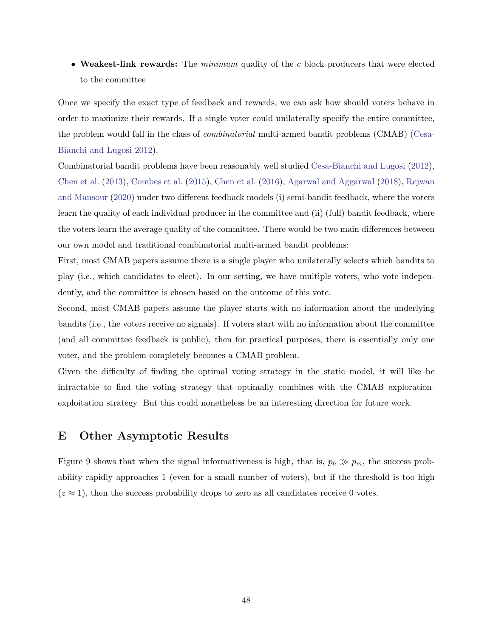• Weakest-link rewards: The minimum quality of the c block producers that were elected to the committee

Once we specify the exact type of feedback and rewards, we can ask how should voters behave in order to maximize their rewards. If a single voter could unilaterally specify the entire committee, the problem would fall in the class of combinatorial multi-armed bandit problems (CMAB) [\(Cesa-](#page-26-15)[Bianchi and Lugosi](#page-26-15) [2012\)](#page-26-15).

Combinatorial bandit problems have been reasonably well studied [Cesa-Bianchi and Lugosi](#page-26-15) [\(2012\)](#page-26-15), [Chen et al.](#page-26-16) [\(2013\)](#page-26-16), [Combes et al.](#page-26-17) [\(2015\)](#page-26-17), [Chen et al.](#page-26-18) [\(2016\)](#page-26-18), [Agarwal and Aggarwal](#page-25-4) [\(2018\)](#page-25-4), [Rejwan](#page-28-17) [and Mansour](#page-28-17) [\(2020\)](#page-28-17) under two different feedback models (i) semi-bandit feedback, where the voters learn the quality of each individual producer in the committee and (ii) (full) bandit feedback, where the voters learn the average quality of the committee. There would be two main differences between our own model and traditional combinatorial multi-armed bandit problems:

First, most CMAB papers assume there is a single player who unilaterally selects which bandits to play (i.e., which candidates to elect). In our setting, we have multiple voters, who vote independently, and the committee is chosen based on the outcome of this vote.

Second, most CMAB papers assume the player starts with no information about the underlying bandits (i.e., the voters receive no signals). If voters start with no information about the committee (and all committee feedback is public), then for practical purposes, there is essentially only one voter, and the problem completely becomes a CMAB problem.

Given the difficulty of finding the optimal voting strategy in the static model, it will like be intractable to find the voting strategy that optimally combines with the CMAB explorationexploitation strategy. But this could nonetheless be an interesting direction for future work.

## <span id="page-47-0"></span>E Other Asymptotic Results

Figure [9](#page-48-0) shows that when the signal informativeness is high, that is,  $p_h \gg p_m$ , the success probability rapidly approaches 1 (even for a small number of voters), but if the threshold is too high  $(z \approx 1)$ , then the success probability drops to zero as all candidates receive 0 votes.